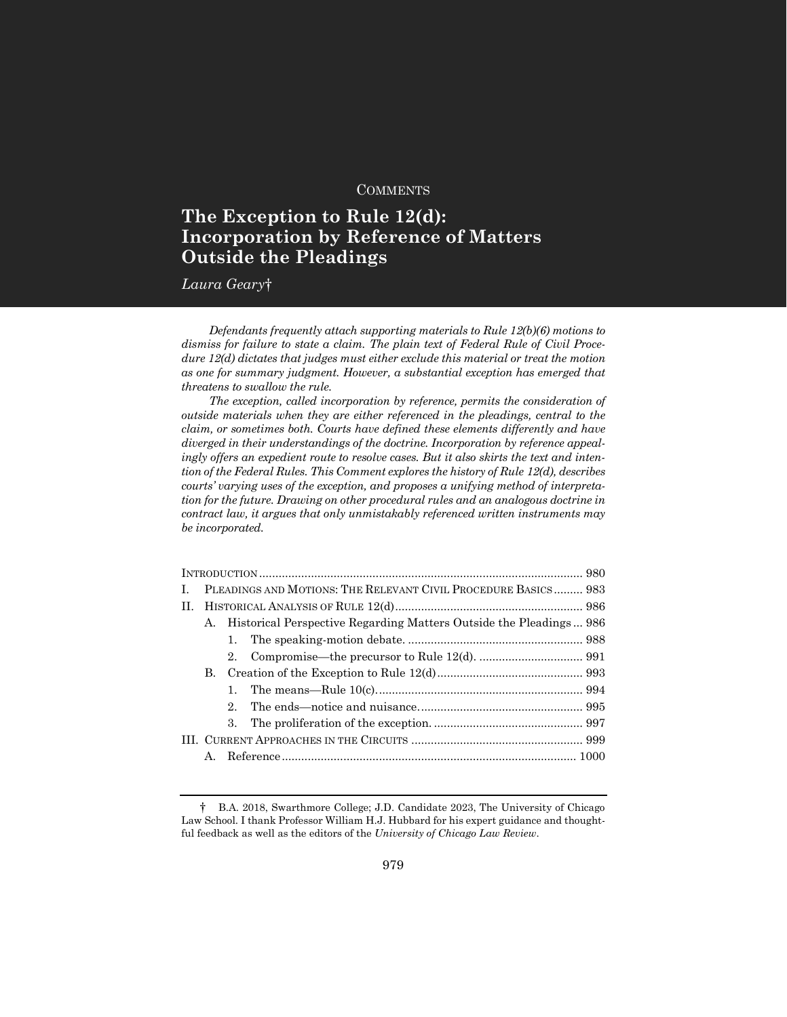# **COMMENTS**

# **The Exception to Rule 12(d): Incorporation by Reference of Matters Outside the Pleadings**

*Laura Geary*†

*Defendants frequently attach supporting materials to Rule 12(b)(6) motions to dismiss for failure to state a claim. The plain text of Federal Rule of Civil Procedure 12(d) dictates that judges must either exclude this material or treat the motion as one for summary judgment. However, a substantial exception has emerged that threatens to swallow the rule.*

*The exception, called incorporation by reference, permits the consideration of outside materials when they are either referenced in the pleadings, central to the claim, or sometimes both. Courts have defined these elements differently and have diverged in their understandings of the doctrine. Incorporation by reference appealingly offers an expedient route to resolve cases. But it also skirts the text and intention of the Federal Rules. This Comment explores the history of Rule 12(d), describes courts' varying uses of the exception, and proposes a unifying method of interpretation for the future. Drawing on other procedural rules and an analogous doctrine in contract law, it argues that only unmistakably referenced written instruments may be incorporated.*

| L. | PLEADINGS AND MOTIONS: THE RELEVANT CIVIL PROCEDURE BASICS 983           |             |  |  |  |
|----|--------------------------------------------------------------------------|-------------|--|--|--|
|    |                                                                          |             |  |  |  |
|    | Historical Perspective Regarding Matters Outside the Pleadings 986<br>A. |             |  |  |  |
|    |                                                                          | 1.          |  |  |  |
|    |                                                                          | $2^{\circ}$ |  |  |  |
|    | В.                                                                       |             |  |  |  |
|    |                                                                          | 1.          |  |  |  |
|    |                                                                          | $2^{\circ}$ |  |  |  |
|    |                                                                          | 3.          |  |  |  |
|    |                                                                          |             |  |  |  |
|    | $A_{\cdot}$                                                              |             |  |  |  |
|    |                                                                          |             |  |  |  |

<sup>†</sup> B.A. 2018, Swarthmore College; J.D. Candidate 2023, The University of Chicago Law School. I thank Professor William H.J. Hubbard for his expert guidance and thoughtful feedback as well as the editors of the *University of Chicago Law Review*.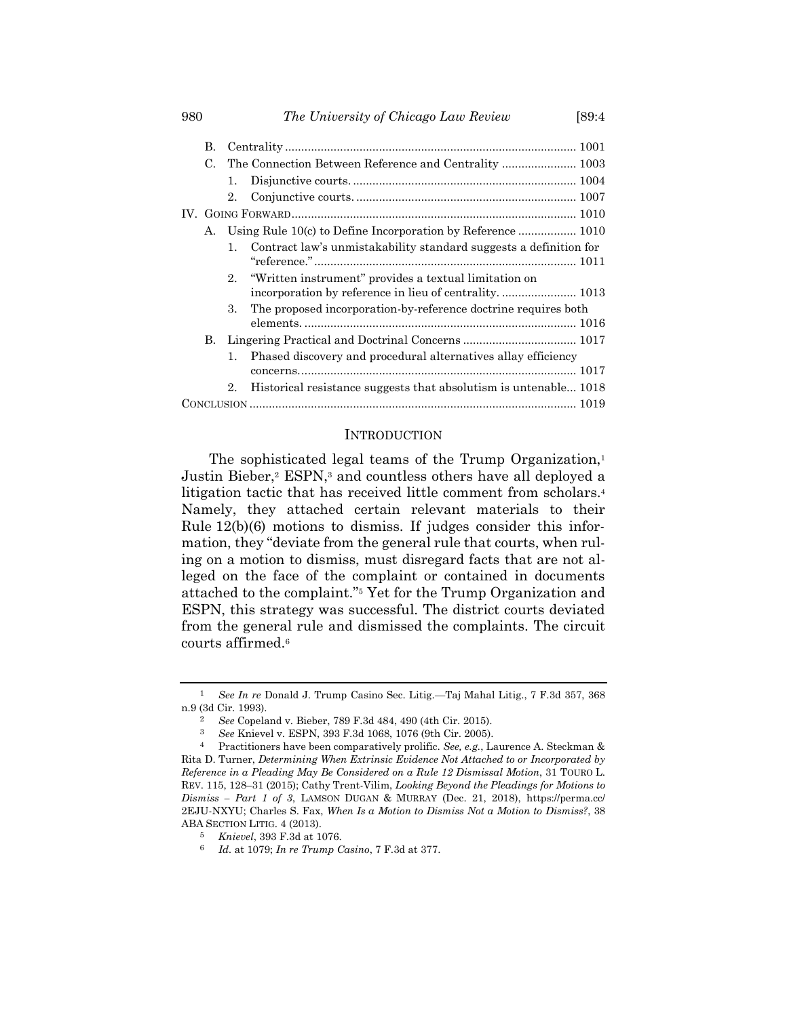| В.          |         |                                                                                                                  |
|-------------|---------|------------------------------------------------------------------------------------------------------------------|
| $C_{\cdot}$ |         | The Connection Between Reference and Centrality  1003                                                            |
|             | 1.      |                                                                                                                  |
|             | $2_{-}$ |                                                                                                                  |
|             |         |                                                                                                                  |
| А.          |         | Using Rule 10(c) to Define Incorporation by Reference  1010                                                      |
|             | 1.      | Contract law's unmistakability standard suggests a definition for                                                |
|             | 2.      | "Written instrument" provides a textual limitation on<br>incorporation by reference in lieu of centrality.  1013 |
|             | 3.      | The proposed incorporation-by-reference doctrine requires both                                                   |
| В.          |         |                                                                                                                  |
|             | 1.      | Phased discovery and procedural alternatives allay efficiency                                                    |
|             | 2.      | Historical resistance suggests that absolutism is untenable 1018                                                 |
|             |         |                                                                                                                  |

#### <span id="page-1-0"></span>**INTRODUCTION**

The sophisticated legal teams of the Trump Organization,<sup>1</sup> Justin Bieber,<sup>2</sup> ESPN,<sup>3</sup> and countless others have all deployed a litigation tactic that has received little comment from scholars.<sup>4</sup> Namely, they attached certain relevant materials to their Rule 12(b)(6) motions to dismiss. If judges consider this information, they "deviate from the general rule that courts, when ruling on a motion to dismiss, must disregard facts that are not alleged on the face of the complaint or contained in documents attached to the complaint."<sup>5</sup> Yet for the Trump Organization and ESPN, this strategy was successful. The district courts deviated from the general rule and dismissed the complaints. The circuit courts affirmed.<sup>6</sup>

<sup>1</sup> *See In re* Donald J. Trump Casino Sec. Litig.—Taj Mahal Litig., 7 F.3d 357, 368 n.9 (3d Cir. 1993).

<sup>&</sup>lt;sup>2</sup> *See* Copeland v. Bieber, 789 F.3d 484, 490 (4th Cir. 2015).<br><sup>3</sup> See Knievel v. ESPN 393 F.3d 1068, 1076 (9th Cir. 2005).

<sup>3</sup> *See* Knievel v. ESPN, 393 F.3d 1068, 1076 (9th Cir. 2005).

<sup>4</sup> Practitioners have been comparatively prolific. *See, e.g.*, Laurence A. Steckman & Rita D. Turner, *Determining When Extrinsic Evidence Not Attached to or Incorporated by Reference in a Pleading May Be Considered on a Rule 12 Dismissal Motion*, 31 TOURO L. REV. 115, 128–31 (2015); Cathy Trent-Vilim, *Looking Beyond the Pleadings for Motions to Dismiss – Part 1 of 3*, LAMSON DUGAN & MURRAY (Dec. 21, 2018), https://perma.cc/ 2EJU-NXYU; Charles S. Fax, *When Is a Motion to Dismiss Not a Motion to Dismiss?*, 38 ABA SECTION LITIG. 4 (2013).

<sup>5</sup> *Knievel*, 393 F.3d at 1076.

<sup>6</sup> *Id.* at 1079; *In re Trump Casino*, 7 F.3d at 377.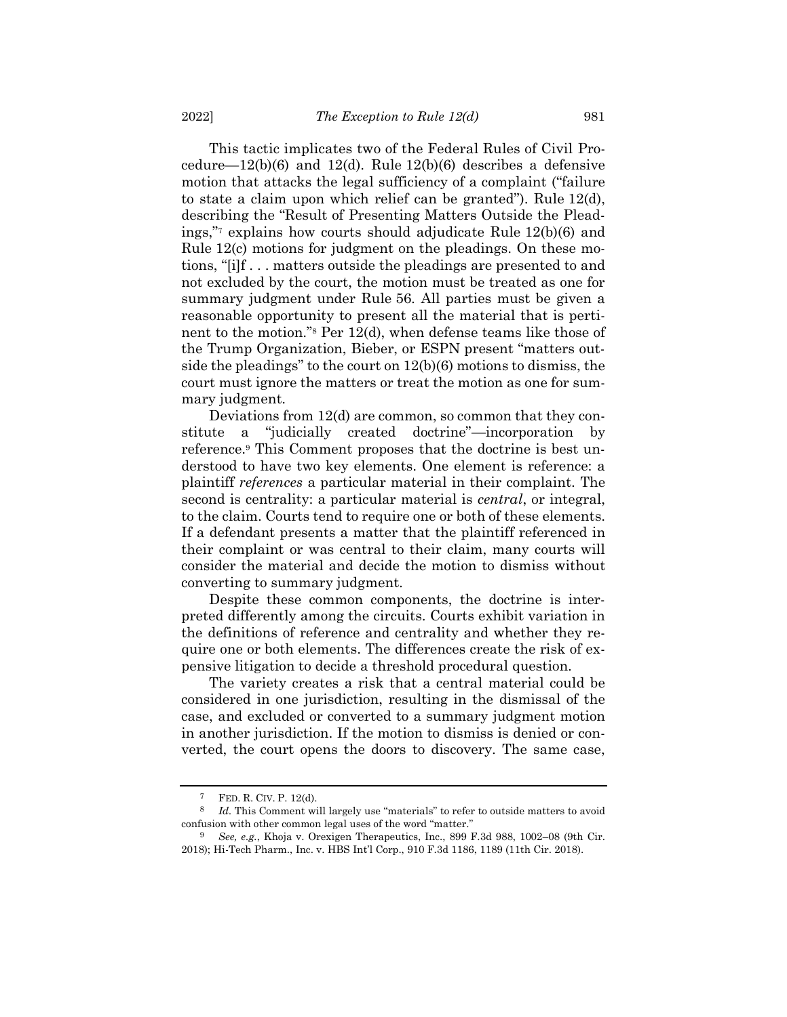This tactic implicates two of the Federal Rules of Civil Procedure— $12(b)(6)$  and  $12(d)$ . Rule  $12(b)(6)$  describes a defensive motion that attacks the legal sufficiency of a complaint ("failure to state a claim upon which relief can be granted"). Rule 12(d), describing the "Result of Presenting Matters Outside the Pleadings,"<sup>7</sup> explains how courts should adjudicate Rule 12(b)(6) and Rule 12(c) motions for judgment on the pleadings. On these motions, "[i]f . . . matters outside the pleadings are presented to and not excluded by the court, the motion must be treated as one for summary judgment under Rule 56. All parties must be given a reasonable opportunity to present all the material that is pertinent to the motion."<sup>8</sup> Per 12(d), when defense teams like those of the Trump Organization, Bieber, or ESPN present "matters outside the pleadings" to the court on 12(b)(6) motions to dismiss, the court must ignore the matters or treat the motion as one for summary judgment.

Deviations from 12(d) are common, so common that they constitute a "judicially created doctrine"—incorporation by reference. <sup>9</sup> This Comment proposes that the doctrine is best understood to have two key elements. One element is reference: a plaintiff *references* a particular material in their complaint. The second is centrality: a particular material is *central*, or integral, to the claim. Courts tend to require one or both of these elements. If a defendant presents a matter that the plaintiff referenced in their complaint or was central to their claim, many courts will consider the material and decide the motion to dismiss without converting to summary judgment.

Despite these common components, the doctrine is interpreted differently among the circuits. Courts exhibit variation in the definitions of reference and centrality and whether they require one or both elements. The differences create the risk of expensive litigation to decide a threshold procedural question.

The variety creates a risk that a central material could be considered in one jurisdiction, resulting in the dismissal of the case, and excluded or converted to a summary judgment motion in another jurisdiction. If the motion to dismiss is denied or converted, the court opens the doors to discovery. The same case,

FED. R. CIV. P. 12(d).

<sup>8</sup> *Id.* This Comment will largely use "materials" to refer to outside matters to avoid confusion with other common legal uses of the word "matter."

<sup>9</sup> *See, e.g.*, Khoja v. Orexigen Therapeutics, Inc., 899 F.3d 988, 1002–08 (9th Cir. 2018); Hi-Tech Pharm., Inc. v. HBS Int'l Corp., 910 F.3d 1186, 1189 (11th Cir. 2018).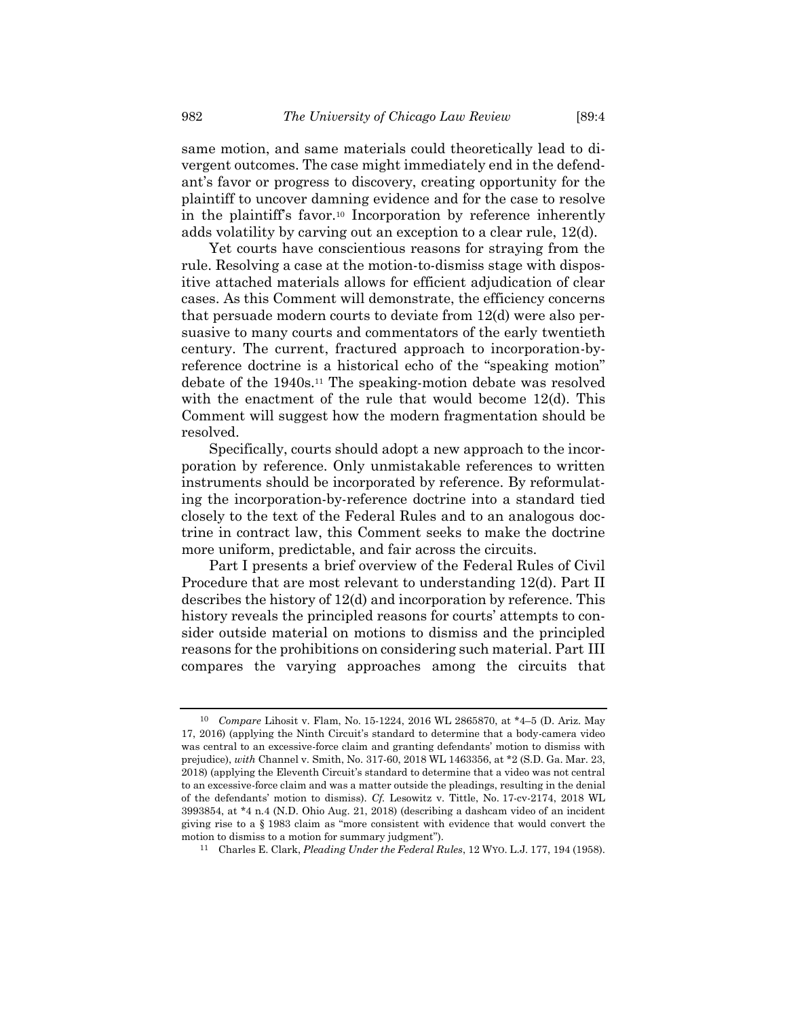same motion, and same materials could theoretically lead to divergent outcomes. The case might immediately end in the defendant's favor or progress to discovery, creating opportunity for the plaintiff to uncover damning evidence and for the case to resolve in the plaintiff's favor.<sup>10</sup> Incorporation by reference inherently adds volatility by carving out an exception to a clear rule, 12(d).

Yet courts have conscientious reasons for straying from the rule. Resolving a case at the motion-to-dismiss stage with dispositive attached materials allows for efficient adjudication of clear cases. As this Comment will demonstrate, the efficiency concerns that persuade modern courts to deviate from 12(d) were also persuasive to many courts and commentators of the early twentieth century. The current, fractured approach to incorporation-byreference doctrine is a historical echo of the "speaking motion" debate of the 1940s.<sup>11</sup> The speaking-motion debate was resolved with the enactment of the rule that would become 12(d). This Comment will suggest how the modern fragmentation should be resolved.

Specifically, courts should adopt a new approach to the incorporation by reference. Only unmistakable references to written instruments should be incorporated by reference. By reformulating the incorporation-by-reference doctrine into a standard tied closely to the text of the Federal Rules and to an analogous doctrine in contract law, this Comment seeks to make the doctrine more uniform, predictable, and fair across the circuits.

Part I presents a brief overview of the Federal Rules of Civil Procedure that are most relevant to understanding 12(d). Part II describes the history of 12(d) and incorporation by reference. This history reveals the principled reasons for courts' attempts to consider outside material on motions to dismiss and the principled reasons for the prohibitions on considering such material. Part III compares the varying approaches among the circuits that

<sup>10</sup> *Compare* Lihosit v. Flam, No. 15-1224, 2016 WL 2865870, at \*4–5 (D. Ariz. May 17, 2016) (applying the Ninth Circuit's standard to determine that a body-camera video was central to an excessive-force claim and granting defendants' motion to dismiss with prejudice), *with* Channel v. Smith, No. 317-60, 2018 WL 1463356, at \*2 (S.D. Ga. Mar. 23, 2018) (applying the Eleventh Circuit's standard to determine that a video was not central to an excessive-force claim and was a matter outside the pleadings, resulting in the denial of the defendants' motion to dismiss). *Cf.* Lesowitz v. Tittle, No. 17-cv-2174, 2018 WL 3993854, at \*4 n.4 (N.D. Ohio Aug. 21, 2018) (describing a dashcam video of an incident giving rise to a § 1983 claim as "more consistent with evidence that would convert the motion to dismiss to a motion for summary judgment").

<sup>11</sup> Charles E. Clark, *Pleading Under the Federal Rules*, 12 WYO. L.J. 177, 194 (1958).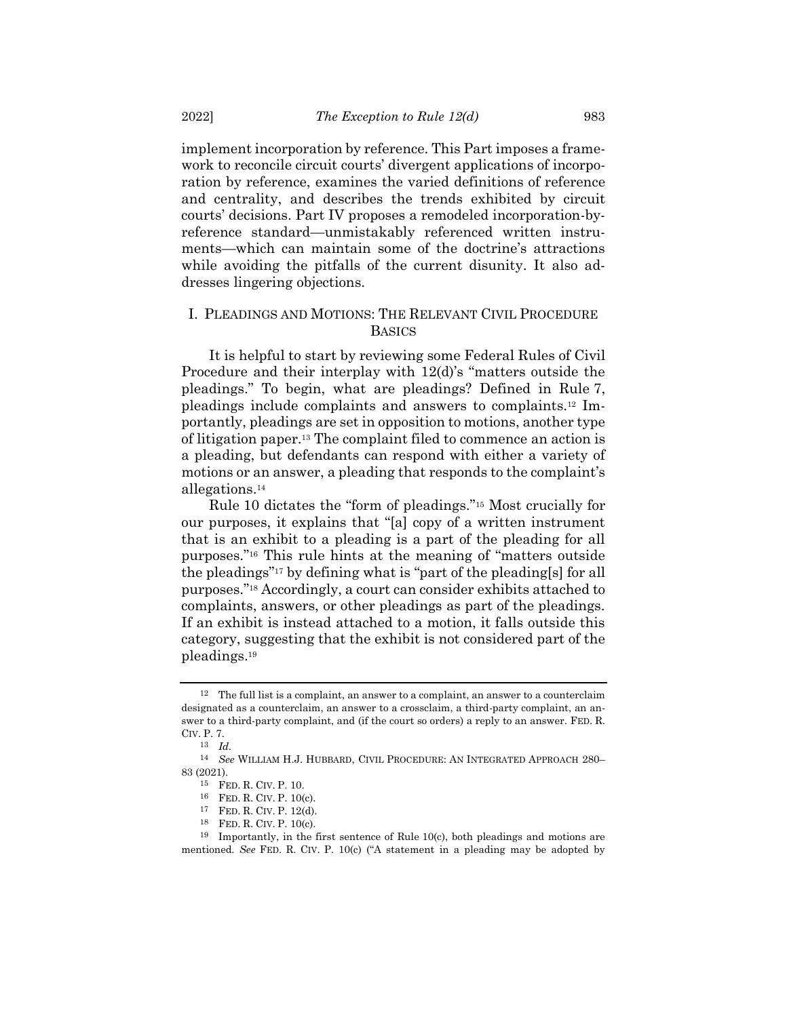implement incorporation by reference. This Part imposes a framework to reconcile circuit courts' divergent applications of incorporation by reference, examines the varied definitions of reference and centrality, and describes the trends exhibited by circuit courts' decisions. Part IV proposes a remodeled incorporation-byreference standard—unmistakably referenced written instruments—which can maintain some of the doctrine's attractions while avoiding the pitfalls of the current disunity. It also addresses lingering objections.

# I. PLEADINGS AND MOTIONS: THE RELEVANT CIVIL PROCEDURE BASICS

It is helpful to start by reviewing some Federal Rules of Civil Procedure and their interplay with 12(d)'s "matters outside the pleadings." To begin, what are pleadings? Defined in Rule 7, pleadings include complaints and answers to complaints.<sup>12</sup> Importantly, pleadings are set in opposition to motions, another type of litigation paper.<sup>13</sup> The complaint filed to commence an action is a pleading, but defendants can respond with either a variety of motions or an answer, a pleading that responds to the complaint's allegations.<sup>14</sup>

Rule 10 dictates the "form of pleadings."<sup>15</sup> Most crucially for our purposes, it explains that "[a] copy of a written instrument that is an exhibit to a pleading is a part of the pleading for all purposes."<sup>16</sup> This rule hints at the meaning of "matters outside the pleadings"<sup>17</sup> by defining what is "part of the pleading[s] for all purposes."<sup>18</sup> Accordingly, a court can consider exhibits attached to complaints, answers, or other pleadings as part of the pleadings. If an exhibit is instead attached to a motion, it falls outside this category, suggesting that the exhibit is not considered part of the pleadings.<sup>19</sup>

<sup>12</sup> The full list is a complaint, an answer to a complaint, an answer to a counterclaim designated as a counterclaim, an answer to a crossclaim, a third-party complaint, an answer to a third-party complaint, and (if the court so orders) a reply to an answer. FED. R. CIV. P. 7.

<sup>13</sup> *Id.*

<sup>14</sup> *See* WILLIAM H.J. HUBBARD, CIVIL PROCEDURE: AN INTEGRATED APPROACH 280– 83 (2021).

<sup>15</sup> FED. R. CIV. P. 10.

<sup>16</sup> FED. R. CIV. P. 10(c).

<sup>17</sup> FED. R. CIV. P. 12(d).

<sup>18</sup> FED. R. CIV. P. 10(c).

<sup>19</sup> Importantly, in the first sentence of Rule 10(c), both pleadings and motions are mentioned. *See* FED. R. CIV. P. 10(c) ("A statement in a pleading may be adopted by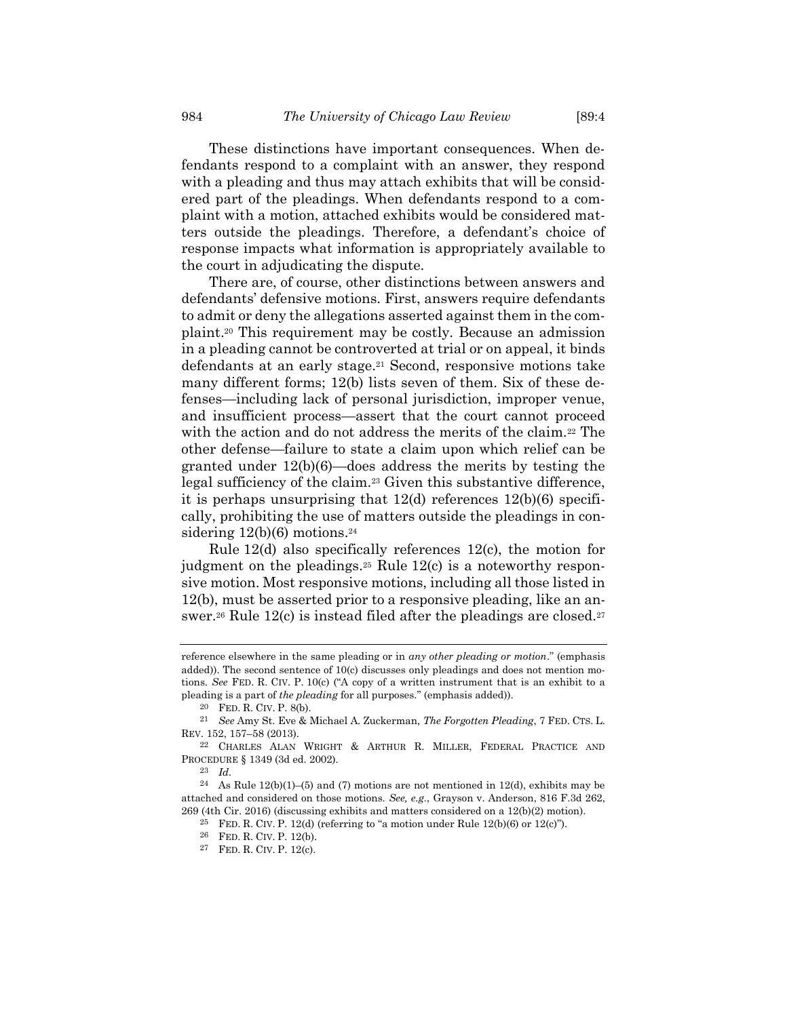These distinctions have important consequences. When defendants respond to a complaint with an answer, they respond with a pleading and thus may attach exhibits that will be considered part of the pleadings. When defendants respond to a complaint with a motion, attached exhibits would be considered matters outside the pleadings. Therefore, a defendant's choice of response impacts what information is appropriately available to the court in adjudicating the dispute.

There are, of course, other distinctions between answers and defendants' defensive motions. First, answers require defendants to admit or deny the allegations asserted against them in the complaint.<sup>20</sup> This requirement may be costly. Because an admission in a pleading cannot be controverted at trial or on appeal, it binds defendants at an early stage.<sup>21</sup> Second, responsive motions take many different forms; 12(b) lists seven of them. Six of these defenses—including lack of personal jurisdiction, improper venue, and insufficient process—assert that the court cannot proceed with the action and do not address the merits of the claim.<sup>22</sup> The other defense—failure to state a claim upon which relief can be granted under 12(b)(6)—does address the merits by testing the legal sufficiency of the claim.<sup>23</sup> Given this substantive difference, it is perhaps unsurprising that  $12(d)$  references  $12(b)(6)$  specifically, prohibiting the use of matters outside the pleadings in considering  $12(b)(6)$  motions.<sup>24</sup>

<span id="page-5-0"></span>Rule 12(d) also specifically references 12(c), the motion for judgment on the pleadings.<sup>25</sup> Rule 12(c) is a noteworthy responsive motion. Most responsive motions, including all those listed in 12(b), must be asserted prior to a responsive pleading, like an answer.<sup>26</sup> Rule 12(c) is instead filed after the pleadings are closed.<sup>27</sup>

reference elsewhere in the same pleading or in *any other pleading or motion*." (emphasis added)). The second sentence of 10(c) discusses only pleadings and does not mention motions. *See* FED. R. CIV. P. 10(c) ("A copy of a written instrument that is an exhibit to a pleading is a part of *the pleading* for all purposes." (emphasis added)).

<sup>20</sup> FED. R. CIV. P. 8(b).

<sup>21</sup> *See* Amy St. Eve & Michael A. Zuckerman, *The Forgotten Pleading*, 7 FED. CTS. L. REV. 152, 157–58 (2013).

<sup>22</sup> CHARLES ALAN WRIGHT & ARTHUR R. MILLER, FEDERAL PRACTICE AND PROCEDURE § 1349 (3d ed. 2002).

<sup>23</sup> *Id.*

<sup>&</sup>lt;sup>24</sup> As Rule 12(b)(1)–(5) and (7) motions are not mentioned in 12(d), exhibits may be attached and considered on those motions. *See, e.g.*, Grayson v. Anderson, 816 F.3d 262, 269 (4th Cir. 2016) (discussing exhibits and matters considered on a 12(b)(2) motion).

<sup>&</sup>lt;sup>25</sup> FED. R. CIV. P. 12(d) (referring to "a motion under Rule  $12(b)(6)$  or  $12(c)$ ").

<sup>26</sup> FED. R. CIV. P. 12(b).

<sup>27</sup> FED. R. CIV. P. 12(c).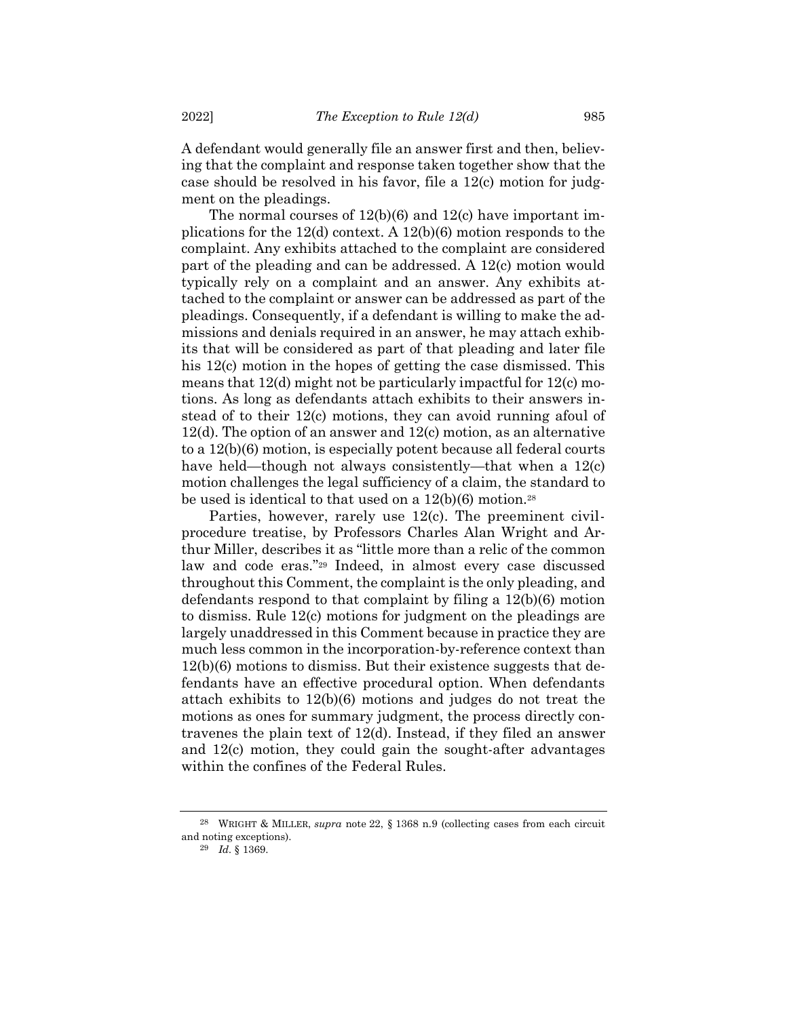A defendant would generally file an answer first and then, believing that the complaint and response taken together show that the case should be resolved in his favor, file a 12(c) motion for judgment on the pleadings.

The normal courses of 12(b)(6) and 12(c) have important implications for the 12(d) context. A 12(b)(6) motion responds to the complaint. Any exhibits attached to the complaint are considered part of the pleading and can be addressed. A 12(c) motion would typically rely on a complaint and an answer. Any exhibits attached to the complaint or answer can be addressed as part of the pleadings. Consequently, if a defendant is willing to make the admissions and denials required in an answer, he may attach exhibits that will be considered as part of that pleading and later file his 12(c) motion in the hopes of getting the case dismissed. This means that 12(d) might not be particularly impactful for 12(c) motions. As long as defendants attach exhibits to their answers instead of to their 12(c) motions, they can avoid running afoul of 12(d). The option of an answer and 12(c) motion, as an alternative to a 12(b)(6) motion, is especially potent because all federal courts have held—though not always consistently—that when a 12(c) motion challenges the legal sufficiency of a claim, the standard to be used is identical to that used on a  $12(b)(6)$  motion.<sup>28</sup>

Parties, however, rarely use 12(c). The preeminent civilprocedure treatise, by Professors Charles Alan Wright and Arthur Miller, describes it as "little more than a relic of the common law and code eras."<sup>29</sup> Indeed, in almost every case discussed throughout this Comment, the complaint is the only pleading, and defendants respond to that complaint by filing a 12(b)(6) motion to dismiss. Rule 12(c) motions for judgment on the pleadings are largely unaddressed in this Comment because in practice they are much less common in the incorporation-by-reference context than 12(b)(6) motions to dismiss. But their existence suggests that defendants have an effective procedural option. When defendants attach exhibits to 12(b)(6) motions and judges do not treat the motions as ones for summary judgment, the process directly contravenes the plain text of 12(d). Instead, if they filed an answer and 12(c) motion, they could gain the sought-after advantages within the confines of the Federal Rules.

<sup>28</sup> WRIGHT & MILLER, *supra* note [22,](#page-5-0) § 1368 n.9 (collecting cases from each circuit and noting exceptions).

<sup>29</sup> *Id.* § 1369.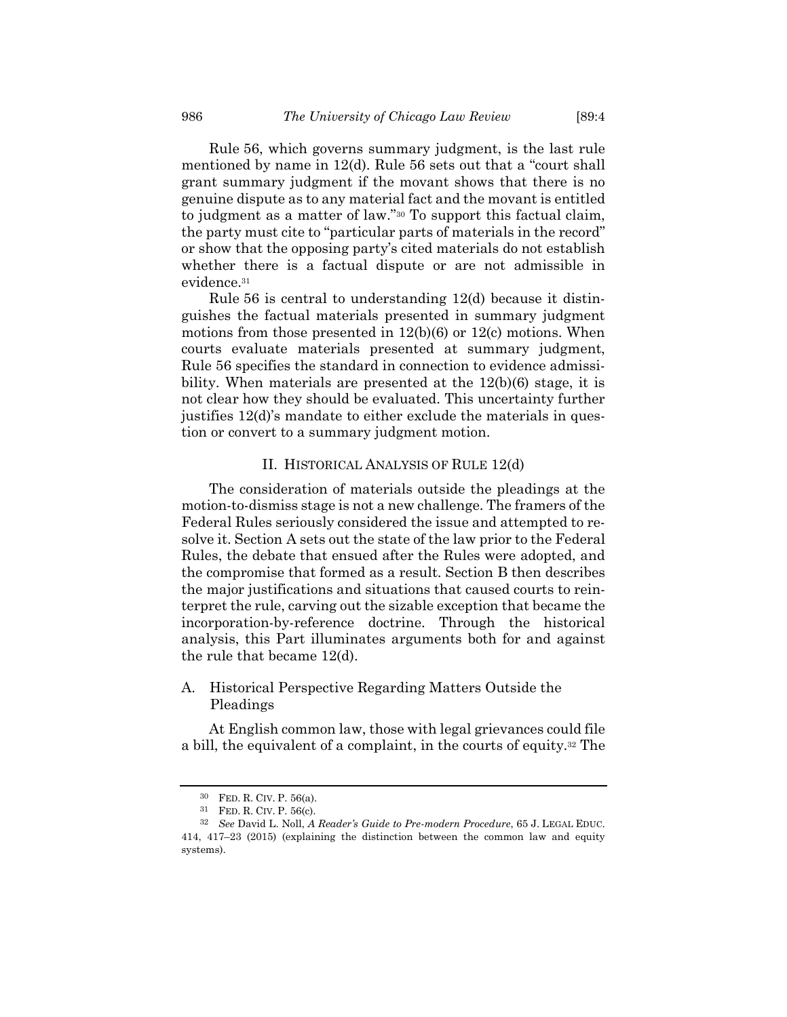Rule 56, which governs summary judgment, is the last rule mentioned by name in 12(d). Rule 56 sets out that a "court shall grant summary judgment if the movant shows that there is no genuine dispute as to any material fact and the movant is entitled to judgment as a matter of law."<sup>30</sup> To support this factual claim, the party must cite to "particular parts of materials in the record" or show that the opposing party's cited materials do not establish whether there is a factual dispute or are not admissible in evidence. 31

Rule 56 is central to understanding 12(d) because it distinguishes the factual materials presented in summary judgment motions from those presented in  $12(b)(6)$  or  $12(c)$  motions. When courts evaluate materials presented at summary judgment, Rule 56 specifies the standard in connection to evidence admissibility. When materials are presented at the 12(b)(6) stage, it is not clear how they should be evaluated. This uncertainty further justifies 12(d)'s mandate to either exclude the materials in question or convert to a summary judgment motion.

## II. HISTORICAL ANALYSIS OF RULE 12(d)

The consideration of materials outside the pleadings at the motion-to-dismiss stage is not a new challenge. The framers of the Federal Rules seriously considered the issue and attempted to resolve it. Section A sets out the state of the law prior to the Federal Rules, the debate that ensued after the Rules were adopted, and the compromise that formed as a result. Section B then describes the major justifications and situations that caused courts to reinterpret the rule, carving out the sizable exception that became the incorporation-by-reference doctrine. Through the historical analysis, this Part illuminates arguments both for and against the rule that became 12(d).

# A. Historical Perspective Regarding Matters Outside the Pleadings

At English common law, those with legal grievances could file a bill, the equivalent of a complaint, in the courts of equity.<sup>32</sup> The

<span id="page-7-0"></span><sup>30</sup> FED. R. CIV. P. 56(a).

<sup>31</sup> FED. R. CIV. P. 56(c).

<sup>32</sup> *See* David L. Noll, *A Reader's Guide to Pre-modern Procedure*, 65 J. LEGAL EDUC. 414, 417–23 (2015) (explaining the distinction between the common law and equity systems).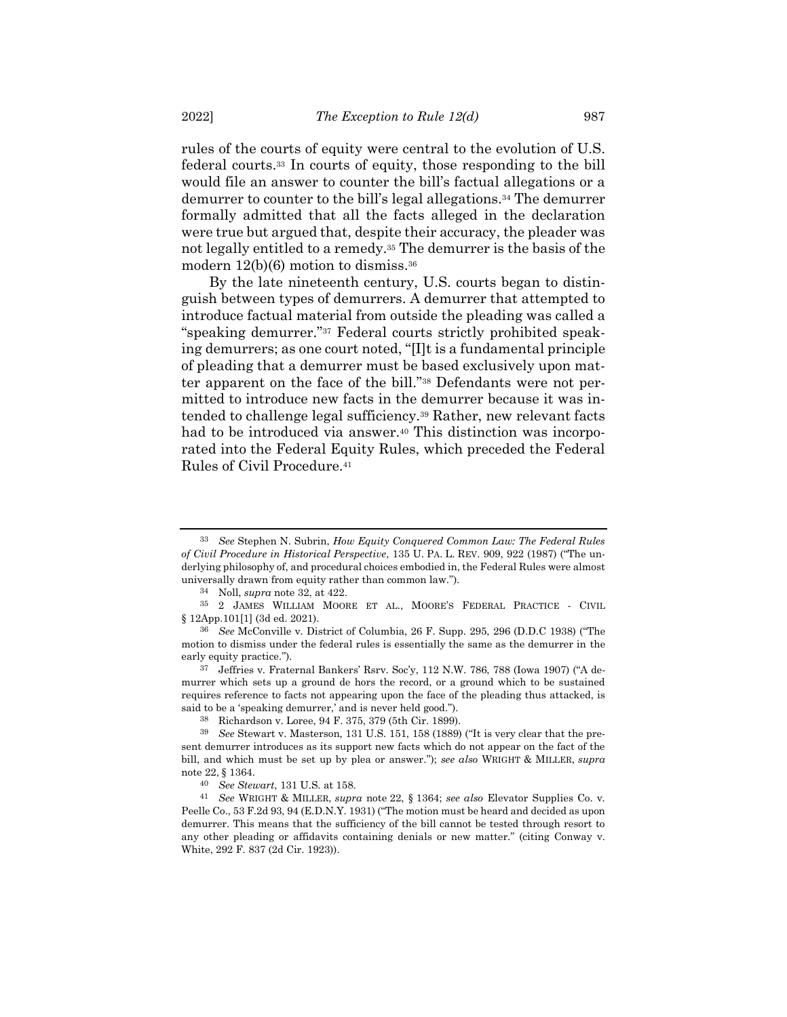rules of the courts of equity were central to the evolution of U.S. federal courts.<sup>33</sup> In courts of equity, those responding to the bill would file an answer to counter the bill's factual allegations or a demurrer to counter to the bill's legal allegations.<sup>34</sup> The demurrer formally admitted that all the facts alleged in the declaration were true but argued that, despite their accuracy, the pleader was not legally entitled to a remedy.<sup>35</sup> The demurrer is the basis of the modern  $12(b)(6)$  motion to dismiss.<sup>36</sup>

<span id="page-8-0"></span>By the late nineteenth century, U.S. courts began to distinguish between types of demurrers. A demurrer that attempted to introduce factual material from outside the pleading was called a "speaking demurrer."<sup>37</sup> Federal courts strictly prohibited speaking demurrers; as one court noted, "[I]t is a fundamental principle of pleading that a demurrer must be based exclusively upon matter apparent on the face of the bill."<sup>38</sup> Defendants were not permitted to introduce new facts in the demurrer because it was intended to challenge legal sufficiency.<sup>39</sup> Rather, new relevant facts had to be introduced via answer.<sup>40</sup> This distinction was incorporated into the Federal Equity Rules, which preceded the Federal Rules of Civil Procedure.<sup>41</sup>

37 Jeffries v. Fraternal Bankers' Rsrv. Soc'y, 112 N.W. 786, 788 (Iowa 1907) ("A demurrer which sets up a ground de hors the record, or a ground which to be sustained requires reference to facts not appearing upon the face of the pleading thus attacked, is said to be a 'speaking demurrer,' and is never held good.").

38 Richardson v. Loree, 94 F. 375, 379 (5th Cir. 1899).

<sup>33</sup> *See* Stephen N. Subrin, *How Equity Conquered Common Law: The Federal Rules of Civil Procedure in Historical Perspective*, 135 U. PA. L. REV. 909, 922 (1987) ("The underlying philosophy of, and procedural choices embodied in, the Federal Rules were almost universally drawn from equity rather than common law.").

<sup>34</sup> Noll, *supra* note [32,](#page-7-0) at 422.

<sup>35</sup> 2 JAMES WILLIAM MOORE ET AL., MOORE'S FEDERAL PRACTICE - CIVIL § 12App.101[1] (3d ed. 2021).

<sup>36</sup> *See* McConville v. District of Columbia, 26 F. Supp. 295, 296 (D.D.C 1938) ("The motion to dismiss under the federal rules is essentially the same as the demurrer in the early equity practice.").

<sup>39</sup> *See* Stewart v. Masterson, 131 U.S. 151, 158 (1889) ("It is very clear that the present demurrer introduces as its support new facts which do not appear on the fact of the bill, and which must be set up by plea or answer."); *see also* WRIGHT & MILLER, *supra* note [22,](#page-5-0) § 1364.

<sup>40</sup> *See Stewart*, 131 U.S. at 158.

<sup>41</sup> *See* WRIGHT & MILLER, *supra* note [22,](#page-5-0) § 1364; *see also* Elevator Supplies Co. v. Peelle Co., 53 F.2d 93, 94 (E.D.N.Y. 1931) ("The motion must be heard and decided as upon demurrer. This means that the sufficiency of the bill cannot be tested through resort to any other pleading or affidavits containing denials or new matter." (citing Conway v. White, 292 F. 837 (2d Cir. 1923)).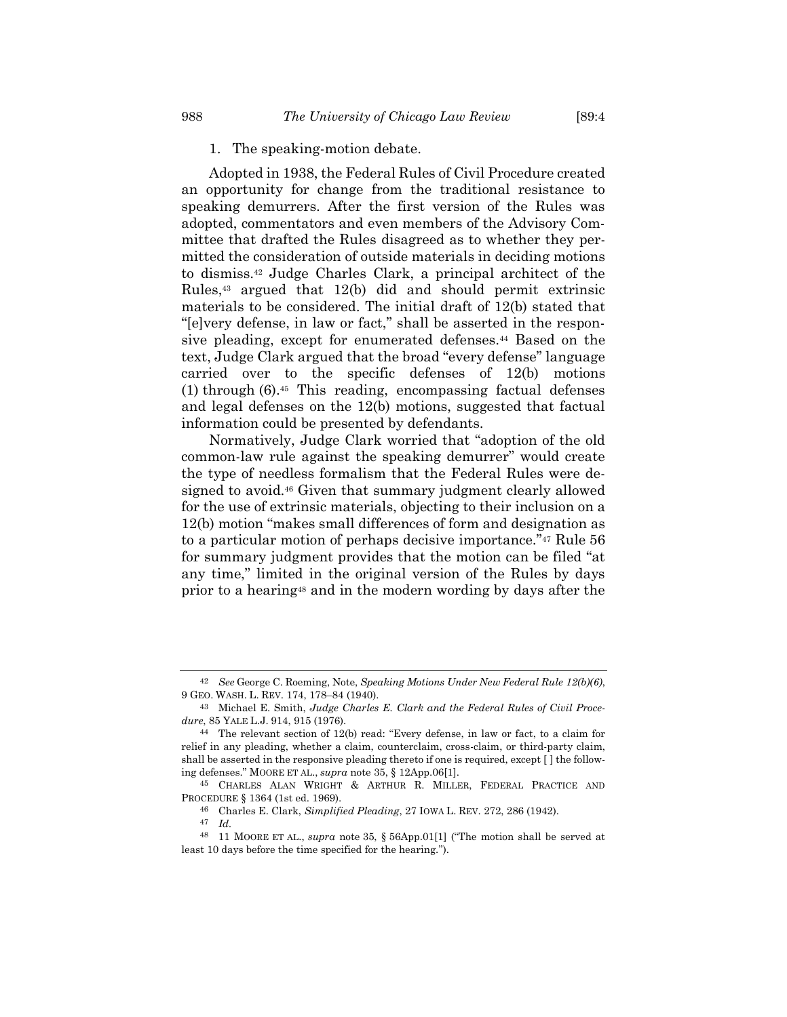#### 1. The speaking-motion debate.

<span id="page-9-2"></span>Adopted in 1938, the Federal Rules of Civil Procedure created an opportunity for change from the traditional resistance to speaking demurrers. After the first version of the Rules was adopted, commentators and even members of the Advisory Committee that drafted the Rules disagreed as to whether they permitted the consideration of outside materials in deciding motions to dismiss.<sup>42</sup> Judge Charles Clark, a principal architect of the Rules,<sup>43</sup> argued that 12(b) did and should permit extrinsic materials to be considered. The initial draft of 12(b) stated that "[e]very defense, in law or fact," shall be asserted in the responsive pleading, except for enumerated defenses.<sup>44</sup> Based on the text, Judge Clark argued that the broad "every defense" language carried over to the specific defenses of 12(b) motions (1) through (6).<sup>45</sup> This reading, encompassing factual defenses and legal defenses on the 12(b) motions, suggested that factual information could be presented by defendants.

<span id="page-9-1"></span><span id="page-9-0"></span>Normatively, Judge Clark worried that "adoption of the old common-law rule against the speaking demurrer" would create the type of needless formalism that the Federal Rules were designed to avoid.<sup>46</sup> Given that summary judgment clearly allowed for the use of extrinsic materials, objecting to their inclusion on a 12(b) motion "makes small differences of form and designation as to a particular motion of perhaps decisive importance."<sup>47</sup> Rule 56 for summary judgment provides that the motion can be filed "at any time," limited in the original version of the Rules by days prior to a hearing<sup>48</sup> and in the modern wording by days after the

<sup>42</sup> *See* George C. Roeming, Note, *Speaking Motions Under New Federal Rule 12(b)(6)*, 9 GEO. WASH. L. REV. 174, 178–84 (1940).

<sup>43</sup> Michael E. Smith, *Judge Charles E. Clark and the Federal Rules of Civil Procedure*, 85 YALE L.J. 914, 915 (1976).

<sup>44</sup> The relevant section of 12(b) read: "Every defense, in law or fact, to a claim for relief in any pleading, whether a claim, counterclaim, cross-claim, or third-party claim, shall be asserted in the responsive pleading thereto if one is required, except [ ] the following defenses." MOORE ET AL., *supra* note [35,](#page-8-0) § 12App.06[1].

<sup>45</sup> CHARLES ALAN WRIGHT & ARTHUR R. MILLER, FEDERAL PRACTICE AND PROCEDURE § 1364 (1st ed. 1969).

<sup>46</sup> Charles E. Clark, *Simplified Pleading*, 27 IOWA L. REV. 272, 286 (1942).

<sup>47</sup> *Id.*

<sup>48</sup> 11 MOORE ET AL., *supra* note [35,](#page-8-0) § 56App.01[1] ("The motion shall be served at least 10 days before the time specified for the hearing.").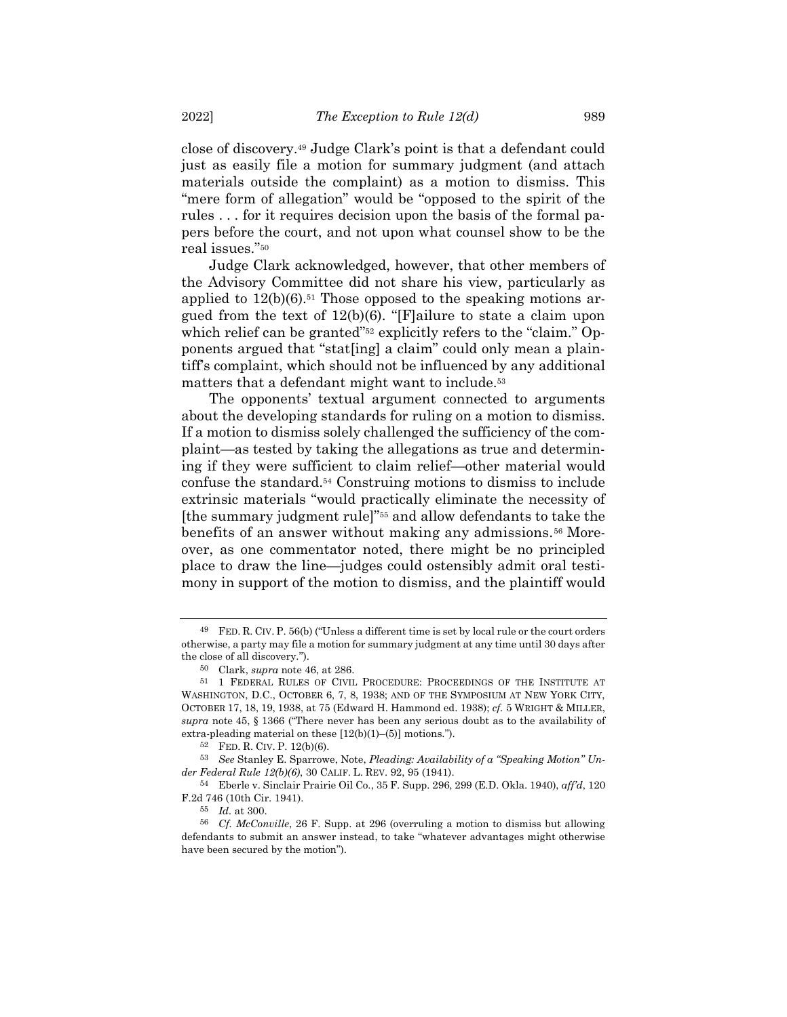close of discovery.<sup>49</sup> Judge Clark's point is that a defendant could just as easily file a motion for summary judgment (and attach materials outside the complaint) as a motion to dismiss. This "mere form of allegation" would be "opposed to the spirit of the rules . . . for it requires decision upon the basis of the formal papers before the court, and not upon what counsel show to be the real issues."<sup>50</sup>

Judge Clark acknowledged, however, that other members of the Advisory Committee did not share his view, particularly as applied to  $12(b)(6)$ .<sup>51</sup> Those opposed to the speaking motions argued from the text of 12(b)(6). "[F]ailure to state a claim upon which relief can be granted"<sup>52</sup> explicitly refers to the "claim." Opponents argued that "stat[ing] a claim" could only mean a plaintiff's complaint, which should not be influenced by any additional matters that a defendant might want to include.<sup>53</sup>

<span id="page-10-0"></span>The opponents' textual argument connected to arguments about the developing standards for ruling on a motion to dismiss. If a motion to dismiss solely challenged the sufficiency of the complaint—as tested by taking the allegations as true and determining if they were sufficient to claim relief—other material would confuse the standard.<sup>54</sup> Construing motions to dismiss to include extrinsic materials "would practically eliminate the necessity of [the summary judgment rule]"<sup>55</sup> and allow defendants to take the benefits of an answer without making any admissions.<sup>56</sup> Moreover, as one commentator noted, there might be no principled place to draw the line—judges could ostensibly admit oral testimony in support of the motion to dismiss, and the plaintiff would

<sup>49</sup> FED. R. CIV. P. 56(b) ("Unless a different time is set by local rule or the court orders otherwise, a party may file a motion for summary judgment at any time until 30 days after the close of all discovery.").

<sup>50</sup> Clark, *supra* note [46,](#page-9-0) at 286.

<sup>51</sup> 1 FEDERAL RULES OF CIVIL PROCEDURE: PROCEEDINGS OF THE INSTITUTE AT WASHINGTON, D.C., OCTOBER 6, 7, 8, 1938; AND OF THE SYMPOSIUM AT NEW YORK CITY, OCTOBER 17, 18, 19, 1938, at 75 (Edward H. Hammond ed. 1938); *cf.* 5 WRIGHT & MILLER, *supra* note [45,](#page-9-1) § 1366 ("There never has been any serious doubt as to the availability of extra-pleading material on these [12(b)(1)–(5)] motions.").

<sup>52</sup> FED. R. CIV. P. 12(b)(6).

<sup>53</sup> *See* Stanley E. Sparrowe, Note, *Pleading: Availability of a "Speaking Motion" Under Federal Rule 12(b)(6)*, 30 CALIF. L. REV. 92, 95 (1941).

<sup>54</sup> Eberle v. Sinclair Prairie Oil Co., 35 F. Supp. 296, 299 (E.D. Okla. 1940), *aff'd*, 120 F.2d 746 (10th Cir. 1941).

<sup>55</sup> *Id.* at 300.

<sup>56</sup> *Cf. McConville*, 26 F. Supp. at 296 (overruling a motion to dismiss but allowing defendants to submit an answer instead, to take "whatever advantages might otherwise have been secured by the motion").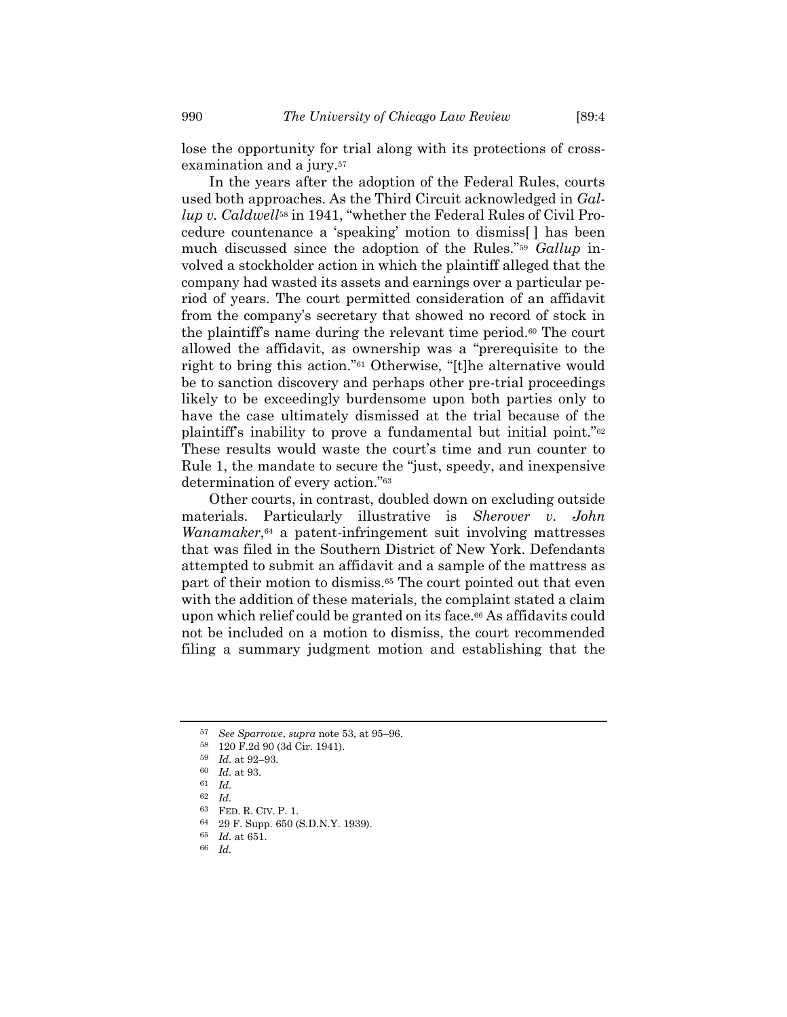In the years after the adoption of the Federal Rules, courts used both approaches. As the Third Circuit acknowledged in *Gallup v. Caldwell*<sup>58</sup> in 1941, "whether the Federal Rules of Civil Procedure countenance a 'speaking' motion to dismiss[ ] has been much discussed since the adoption of the Rules."<sup>59</sup> *Gallup* involved a stockholder action in which the plaintiff alleged that the company had wasted its assets and earnings over a particular period of years. The court permitted consideration of an affidavit from the company's secretary that showed no record of stock in the plaintiff's name during the relevant time period.<sup>60</sup> The court allowed the affidavit, as ownership was a "prerequisite to the right to bring this action."<sup>61</sup> Otherwise, "[t]he alternative would be to sanction discovery and perhaps other pre-trial proceedings likely to be exceedingly burdensome upon both parties only to have the case ultimately dismissed at the trial because of the plaintiff's inability to prove a fundamental but initial point."<sup>62</sup> These results would waste the court's time and run counter to Rule 1, the mandate to secure the "just, speedy, and inexpensive determination of every action."<sup>63</sup>

Other courts, in contrast, doubled down on excluding outside materials. Particularly illustrative is *Sherover v. John Wanamaker*, <sup>64</sup> a patent-infringement suit involving mattresses that was filed in the Southern District of New York. Defendants attempted to submit an affidavit and a sample of the mattress as part of their motion to dismiss.<sup>65</sup> The court pointed out that even with the addition of these materials, the complaint stated a claim upon which relief could be granted on its face.<sup>66</sup> As affidavits could not be included on a motion to dismiss, the court recommended filing a summary judgment motion and establishing that the

<sup>57</sup> *See Sparrowe*, *supra* note [53,](#page-10-0) at 95–96.

<sup>58</sup> 120 F.2d 90 (3d Cir. 1941).

<sup>59</sup> *Id.* at 92–93.

<sup>60</sup> *Id.* at 93.

<sup>61</sup> *Id.*

<sup>62</sup> *Id.*

<sup>63</sup> FED. R. CIV. P. 1.

<sup>64</sup> 29 F. Supp. 650 (S.D.N.Y. 1939).

<sup>65</sup> *Id.* at 651.

<sup>66</sup> *Id.*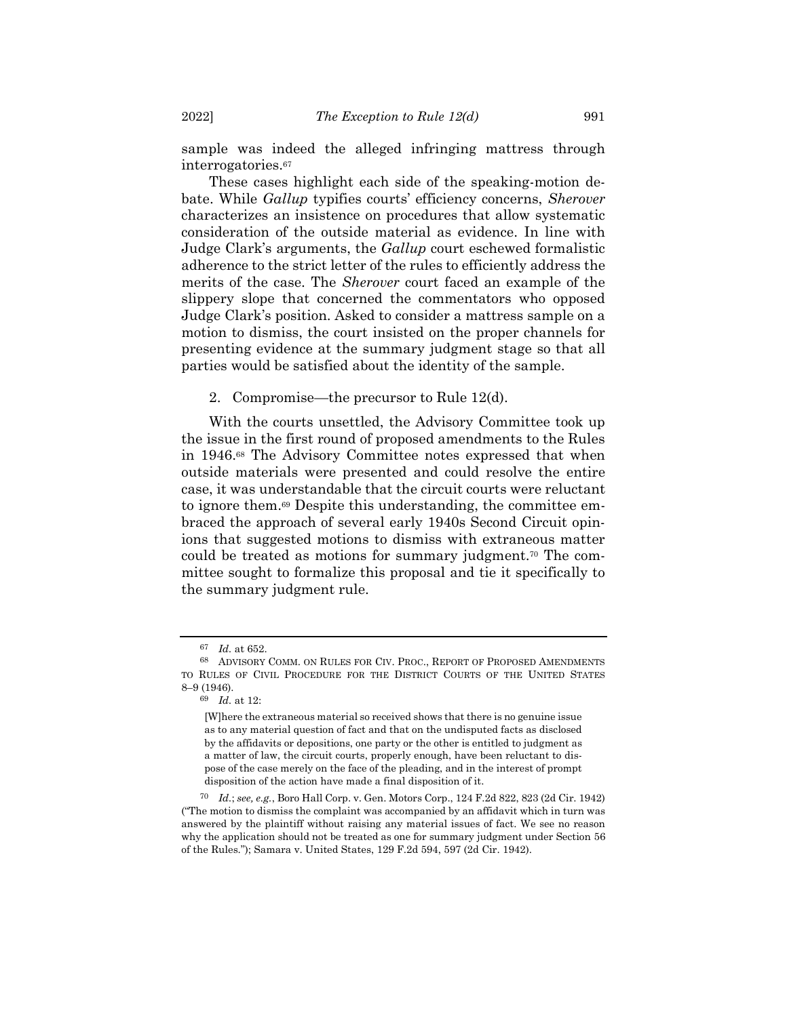sample was indeed the alleged infringing mattress through interrogatories. 67

These cases highlight each side of the speaking-motion debate. While *Gallup* typifies courts' efficiency concerns, *Sherover* characterizes an insistence on procedures that allow systematic consideration of the outside material as evidence. In line with Judge Clark's arguments, the *Gallup* court eschewed formalistic adherence to the strict letter of the rules to efficiently address the merits of the case. The *Sherover* court faced an example of the slippery slope that concerned the commentators who opposed Judge Clark's position. Asked to consider a mattress sample on a motion to dismiss, the court insisted on the proper channels for presenting evidence at the summary judgment stage so that all parties would be satisfied about the identity of the sample.

<span id="page-12-0"></span>2. Compromise—the precursor to Rule 12(d).

With the courts unsettled, the Advisory Committee took up the issue in the first round of proposed amendments to the Rules in 1946.<sup>68</sup> The Advisory Committee notes expressed that when outside materials were presented and could resolve the entire case, it was understandable that the circuit courts were reluctant to ignore them. <sup>69</sup> Despite this understanding, the committee embraced the approach of several early 1940s Second Circuit opinions that suggested motions to dismiss with extraneous matter could be treated as motions for summary judgment.<sup>70</sup> The committee sought to formalize this proposal and tie it specifically to the summary judgment rule.

<sup>67</sup> *Id.* at 652.

<sup>68</sup> ADVISORY COMM. ON RULES FOR CIV. PROC., REPORT OF PROPOSED AMENDMENTS TO RULES OF CIVIL PROCEDURE FOR THE DISTRICT COURTS OF THE UNITED STATES 8–9 (1946).

<sup>69</sup> *Id.* at 12:

<sup>[</sup>W]here the extraneous material so received shows that there is no genuine issue as to any material question of fact and that on the undisputed facts as disclosed by the affidavits or depositions, one party or the other is entitled to judgment as a matter of law, the circuit courts, properly enough, have been reluctant to dispose of the case merely on the face of the pleading, and in the interest of prompt disposition of the action have made a final disposition of it.

<sup>70</sup> *Id.*; *see, e.g.*, Boro Hall Corp. v. Gen. Motors Corp., 124 F.2d 822, 823 (2d Cir. 1942) ("The motion to dismiss the complaint was accompanied by an affidavit which in turn was answered by the plaintiff without raising any material issues of fact. We see no reason why the application should not be treated as one for summary judgment under Section 56 of the Rules."); Samara v. United States, 129 F.2d 594, 597 (2d Cir. 1942).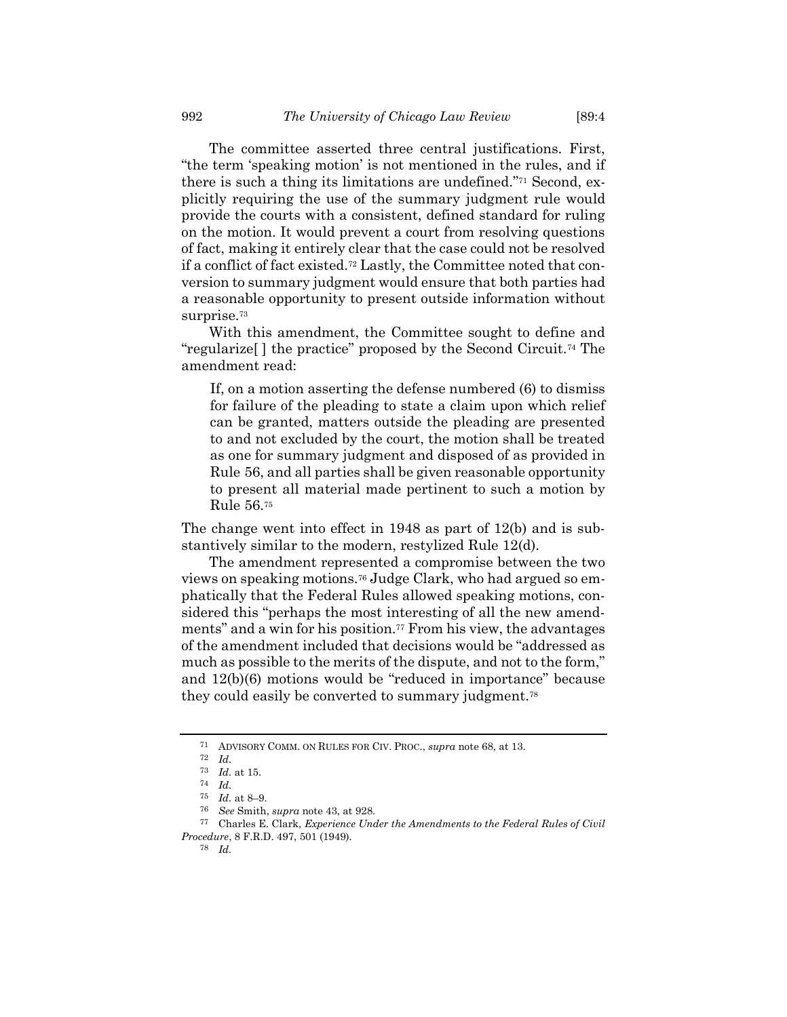The committee asserted three central justifications. First, "the term 'speaking motion' is not mentioned in the rules, and if there is such a thing its limitations are undefined."<sup>71</sup> Second, explicitly requiring the use of the summary judgment rule would provide the courts with a consistent, defined standard for ruling on the motion. It would prevent a court from resolving questions of fact, making it entirely clear that the case could not be resolved if a conflict of fact existed.<sup>72</sup> Lastly, the Committee noted that conversion to summary judgment would ensure that both parties had a reasonable opportunity to present outside information without surprise.<sup>73</sup>

With this amendment, the Committee sought to define and "regularize[ ] the practice" proposed by the Second Circuit.<sup>74</sup> The amendment read:

If, on a motion asserting the defense numbered (6) to dismiss for failure of the pleading to state a claim upon which relief can be granted, matters outside the pleading are presented to and not excluded by the court, the motion shall be treated as one for summary judgment and disposed of as provided in Rule 56, and all parties shall be given reasonable opportunity to present all material made pertinent to such a motion by Rule 56.<sup>75</sup>

The change went into effect in 1948 as part of 12(b) and is substantively similar to the modern, restylized Rule 12(d).

The amendment represented a compromise between the two views on speaking motions.<sup>76</sup> Judge Clark, who had argued so emphatically that the Federal Rules allowed speaking motions, considered this "perhaps the most interesting of all the new amendments" and a win for his position.<sup>77</sup> From his view, the advantages of the amendment included that decisions would be "addressed as much as possible to the merits of the dispute, and not to the form," and 12(b)(6) motions would be "reduced in importance" because they could easily be converted to summary judgment.<sup>78</sup>

<sup>71</sup> ADVISORY COMM. ON RULES FOR CIV. PROC., *supra* note [68,](#page-12-0) at 13.

<sup>72</sup> *Id.*

<sup>73</sup> *Id.* at 15.

<sup>74</sup> *Id.*

<sup>75</sup> *Id.* at 8–9.

<sup>76</sup> *See* Smith, *supra* not[e 43,](#page-9-2) at 928.

<sup>77</sup> Charles E. Clark, *Experience Under the Amendments to the Federal Rules of Civil Procedure*, 8 F.R.D. 497, 501 (1949).

<sup>78</sup> *Id.*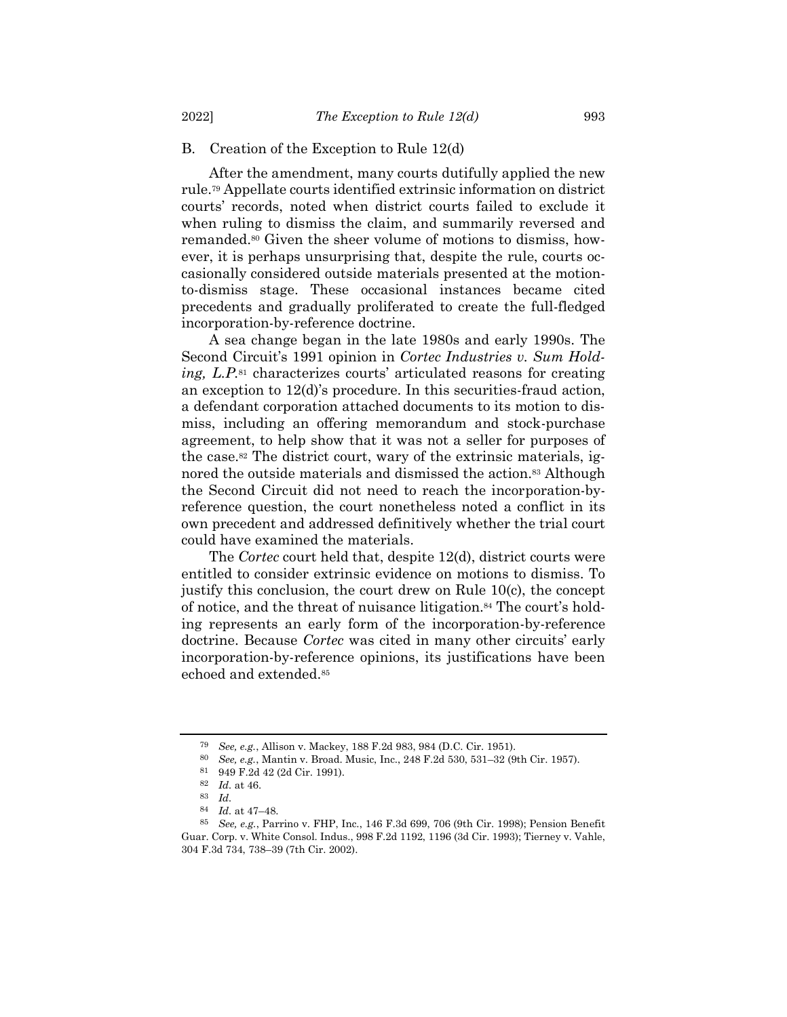## B. Creation of the Exception to Rule 12(d)

After the amendment, many courts dutifully applied the new rule.<sup>79</sup> Appellate courts identified extrinsic information on district courts' records, noted when district courts failed to exclude it when ruling to dismiss the claim, and summarily reversed and remanded.<sup>80</sup> Given the sheer volume of motions to dismiss, however, it is perhaps unsurprising that, despite the rule, courts occasionally considered outside materials presented at the motionto-dismiss stage. These occasional instances became cited precedents and gradually proliferated to create the full-fledged incorporation-by-reference doctrine.

A sea change began in the late 1980s and early 1990s. The Second Circuit's 1991 opinion in *Cortec Industries v. Sum Holding, L.P.*<sup>81</sup> characterizes courts' articulated reasons for creating an exception to 12(d)'s procedure. In this securities-fraud action, a defendant corporation attached documents to its motion to dismiss, including an offering memorandum and stock-purchase agreement, to help show that it was not a seller for purposes of the case.<sup>82</sup> The district court, wary of the extrinsic materials, ignored the outside materials and dismissed the action.<sup>83</sup> Although the Second Circuit did not need to reach the incorporation-byreference question, the court nonetheless noted a conflict in its own precedent and addressed definitively whether the trial court could have examined the materials.

The *Cortec* court held that, despite 12(d), district courts were entitled to consider extrinsic evidence on motions to dismiss. To justify this conclusion, the court drew on Rule 10(c), the concept of notice, and the threat of nuisance litigation. <sup>84</sup> The court's holding represents an early form of the incorporation-by-reference doctrine. Because *Cortec* was cited in many other circuits' early incorporation-by-reference opinions, its justifications have been echoed and extended.<sup>85</sup>

<sup>79</sup> *See, e.g.*, Allison v. Mackey, 188 F.2d 983, 984 (D.C. Cir. 1951).

<sup>80</sup> *See, e.g.*, Mantin v. Broad. Music, Inc., 248 F.2d 530, 531–32 (9th Cir. 1957).

<sup>81</sup> 949 F.2d 42 (2d Cir. 1991).

<sup>82</sup> *Id.* at 46.

<sup>83</sup> *Id.*

<sup>84</sup> *Id.* at 47–48.

<sup>85</sup> *See, e.g.*, Parrino v. FHP, Inc., 146 F.3d 699, 706 (9th Cir. 1998); Pension Benefit Guar. Corp. v. White Consol. Indus., 998 F.2d 1192, 1196 (3d Cir. 1993); Tierney v. Vahle, 304 F.3d 734, 738–39 (7th Cir. 2002).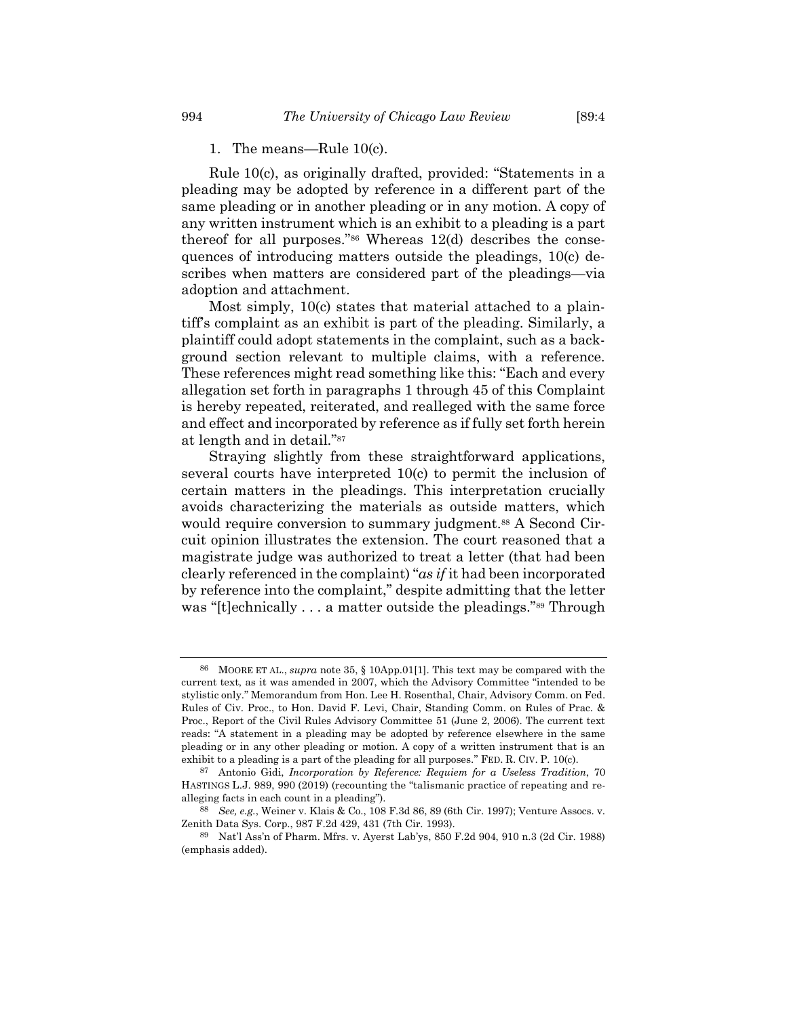Rule 10(c), as originally drafted, provided: "Statements in a pleading may be adopted by reference in a different part of the same pleading or in another pleading or in any motion. A copy of any written instrument which is an exhibit to a pleading is a part thereof for all purposes."<sup>86</sup> Whereas 12(d) describes the consequences of introducing matters outside the pleadings, 10(c) describes when matters are considered part of the pleadings—via adoption and attachment.

Most simply, 10(c) states that material attached to a plaintiff's complaint as an exhibit is part of the pleading. Similarly, a plaintiff could adopt statements in the complaint, such as a background section relevant to multiple claims, with a reference. These references might read something like this: "Each and every allegation set forth in paragraphs 1 through 45 of this Complaint is hereby repeated, reiterated, and realleged with the same force and effect and incorporated by reference as if fully set forth herein at length and in detail."<sup>87</sup>

Straying slightly from these straightforward applications, several courts have interpreted 10(c) to permit the inclusion of certain matters in the pleadings. This interpretation crucially avoids characterizing the materials as outside matters, which would require conversion to summary judgment.<sup>88</sup> A Second Circuit opinion illustrates the extension. The court reasoned that a magistrate judge was authorized to treat a letter (that had been clearly referenced in the complaint) "*as if* it had been incorporated by reference into the complaint," despite admitting that the letter was "[t]echnically . . . a matter outside the pleadings."<sup>89</sup> Through

<sup>86</sup> MOORE ET AL., *supra* note [35,](#page-8-0) § 10App.01[1]. This text may be compared with the current text, as it was amended in 2007, which the Advisory Committee "intended to be stylistic only." Memorandum from Hon. Lee H. Rosenthal, Chair, Advisory Comm. on Fed. Rules of Civ. Proc., to Hon. David F. Levi, Chair, Standing Comm. on Rules of Prac. & Proc., Report of the Civil Rules Advisory Committee 51 (June 2, 2006). The current text reads: "A statement in a pleading may be adopted by reference elsewhere in the same pleading or in any other pleading or motion. A copy of a written instrument that is an exhibit to a pleading is a part of the pleading for all purposes." FED. R. CIV. P. 10(c).

<sup>87</sup> Antonio Gidi, *Incorporation by Reference: Requiem for a Useless Tradition*, 70 HASTINGS L.J. 989, 990 (2019) (recounting the "talismanic practice of repeating and realleging facts in each count in a pleading").

<sup>88</sup> *See, e.g.*, Weiner v. Klais & Co., 108 F.3d 86, 89 (6th Cir. 1997); Venture Assocs. v. Zenith Data Sys. Corp., 987 F.2d 429, 431 (7th Cir. 1993).

<sup>89</sup> Nat'l Ass'n of Pharm. Mfrs. v. Ayerst Lab'ys, 850 F.2d 904, 910 n.3 (2d Cir. 1988) (emphasis added).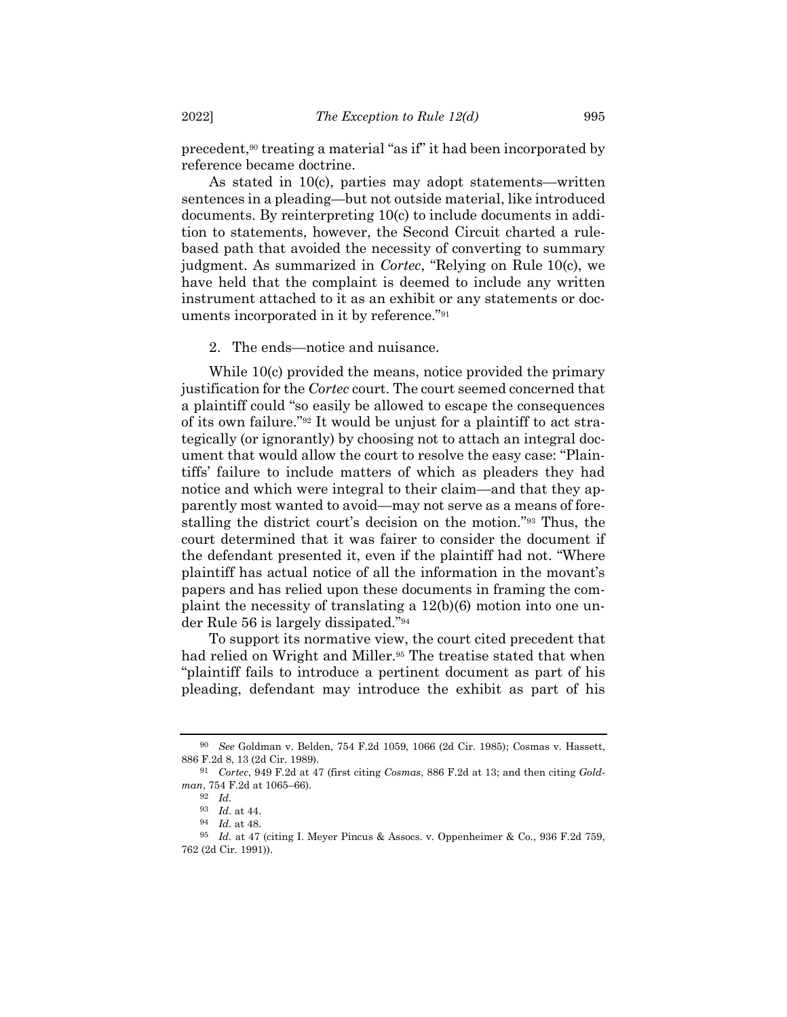precedent,<sup>90</sup> treating a material "as if" it had been incorporated by reference became doctrine.

As stated in 10(c), parties may adopt statements—written sentences in a pleading—but not outside material, like introduced documents. By reinterpreting 10(c) to include documents in addition to statements, however, the Second Circuit charted a rulebased path that avoided the necessity of converting to summary judgment. As summarized in *Cortec*, "Relying on Rule 10(c), we have held that the complaint is deemed to include any written instrument attached to it as an exhibit or any statements or documents incorporated in it by reference."<sup>91</sup>

2. The ends—notice and nuisance.

While 10(c) provided the means, notice provided the primary justification for the *Cortec* court. The court seemed concerned that a plaintiff could "so easily be allowed to escape the consequences of its own failure."<sup>92</sup> It would be unjust for a plaintiff to act strategically (or ignorantly) by choosing not to attach an integral document that would allow the court to resolve the easy case: "Plaintiffs' failure to include matters of which as pleaders they had notice and which were integral to their claim—and that they apparently most wanted to avoid—may not serve as a means of forestalling the district court's decision on the motion."<sup>93</sup> Thus, the court determined that it was fairer to consider the document if the defendant presented it, even if the plaintiff had not. "Where plaintiff has actual notice of all the information in the movant's papers and has relied upon these documents in framing the complaint the necessity of translating a 12(b)(6) motion into one under Rule 56 is largely dissipated."<sup>94</sup>

To support its normative view, the court cited precedent that had relied on Wright and Miller.<sup>95</sup> The treatise stated that when "plaintiff fails to introduce a pertinent document as part of his pleading, defendant may introduce the exhibit as part of his

<sup>90</sup> *See* Goldman v. Belden, 754 F.2d 1059, 1066 (2d Cir. 1985); Cosmas v. Hassett, 886 F.2d 8, 13 (2d Cir. 1989).

<sup>91</sup> *Cortec*, 949 F.2d at 47 (first citing *Cosmas*, 886 F.2d at 13; and then citing *Goldman*, 754 F.2d at 1065–66).

<sup>92</sup> *Id.*

<sup>93</sup> *Id.* at 44.

<sup>94</sup> *Id.* at 48.

<sup>95</sup> *Id.* at 47 (citing I. Meyer Pincus & Assocs. v. Oppenheimer & Co., 936 F.2d 759, 762 (2d Cir. 1991)).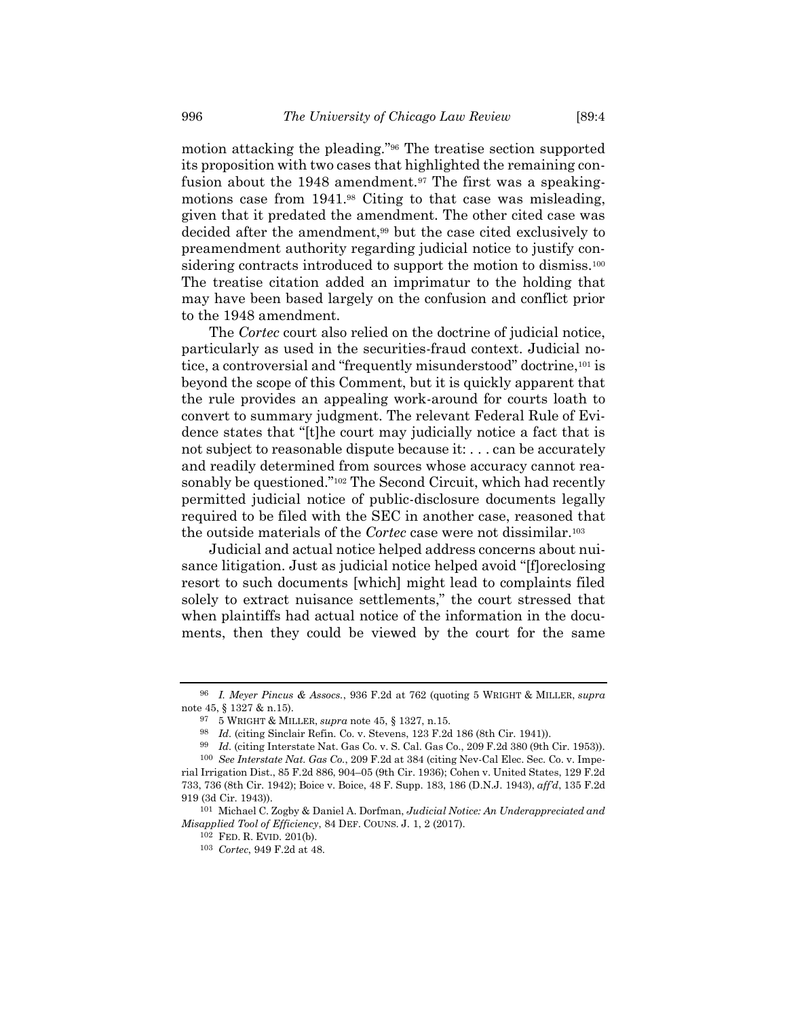motion attacking the pleading."<sup>96</sup> The treatise section supported its proposition with two cases that highlighted the remaining confusion about the 1948 amendment.<sup>97</sup> The first was a speakingmotions case from 1941.<sup>98</sup> Citing to that case was misleading, given that it predated the amendment. The other cited case was decided after the amendment, <sup>99</sup> but the case cited exclusively to preamendment authority regarding judicial notice to justify considering contracts introduced to support the motion to dismiss.<sup>100</sup> The treatise citation added an imprimatur to the holding that may have been based largely on the confusion and conflict prior to the 1948 amendment.

The *Cortec* court also relied on the doctrine of judicial notice, particularly as used in the securities-fraud context. Judicial notice, a controversial and "frequently misunderstood" doctrine,<sup>101</sup> is beyond the scope of this Comment, but it is quickly apparent that the rule provides an appealing work-around for courts loath to convert to summary judgment. The relevant Federal Rule of Evidence states that "[t]he court may judicially notice a fact that is not subject to reasonable dispute because it: . . . can be accurately and readily determined from sources whose accuracy cannot reasonably be questioned."<sup>102</sup> The Second Circuit, which had recently permitted judicial notice of public-disclosure documents legally required to be filed with the SEC in another case, reasoned that the outside materials of the *Cortec* case were not dissimilar.<sup>103</sup>

Judicial and actual notice helped address concerns about nuisance litigation. Just as judicial notice helped avoid "[f]oreclosing resort to such documents [which] might lead to complaints filed solely to extract nuisance settlements," the court stressed that when plaintiffs had actual notice of the information in the documents, then they could be viewed by the court for the same

<sup>96</sup> *I. Meyer Pincus & Assocs.*, 936 F.2d at 762 (quoting 5 WRIGHT & MILLER, *supra* note [45,](#page-9-1) § 1327 & n.15).

<sup>97</sup> 5 WRIGHT & MILLER, *supra* note [45,](#page-9-1) § 1327, n.15.

<sup>98</sup> *Id.* (citing Sinclair Refin. Co. v. Stevens, 123 F.2d 186 (8th Cir. 1941)).

<sup>99</sup> *Id.* (citing Interstate Nat. Gas Co. v. S. Cal. Gas Co., 209 F.2d 380 (9th Cir. 1953)).

<sup>100</sup> *See Interstate Nat. Gas Co.*, 209 F.2d at 384 (citing Nev-Cal Elec. Sec. Co. v. Imperial Irrigation Dist., 85 F.2d 886, 904–05 (9th Cir. 1936); Cohen v. United States, 129 F.2d 733, 736 (8th Cir. 1942); Boice v. Boice, 48 F. Supp. 183, 186 (D.N.J. 1943), *aff'd*, 135 F.2d 919 (3d Cir. 1943)).

<sup>101</sup> Michael C. Zogby & Daniel A. Dorfman, *Judicial Notice: An Underappreciated and Misapplied Tool of Efficiency*, 84 DEF. COUNS. J. 1, 2 (2017).

<sup>102</sup> FED. R. EVID. 201(b).

<sup>103</sup> *Cortec*, 949 F.2d at 48.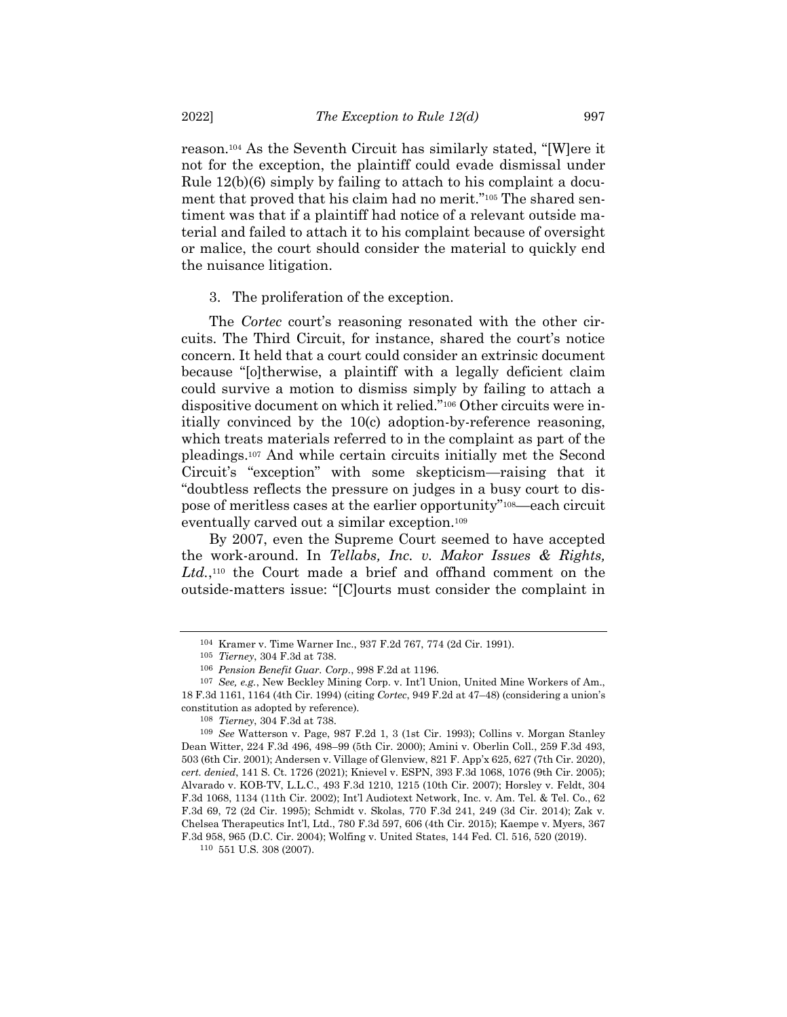reason.<sup>104</sup> As the Seventh Circuit has similarly stated, "[W]ere it not for the exception, the plaintiff could evade dismissal under Rule 12(b)(6) simply by failing to attach to his complaint a document that proved that his claim had no merit."<sup>105</sup> The shared sentiment was that if a plaintiff had notice of a relevant outside material and failed to attach it to his complaint because of oversight or malice, the court should consider the material to quickly end the nuisance litigation.

3. The proliferation of the exception.

The *Cortec* court's reasoning resonated with the other circuits. The Third Circuit, for instance, shared the court's notice concern. It held that a court could consider an extrinsic document because "[o]therwise, a plaintiff with a legally deficient claim could survive a motion to dismiss simply by failing to attach a dispositive document on which it relied."<sup>106</sup> Other circuits were initially convinced by the 10(c) adoption-by-reference reasoning, which treats materials referred to in the complaint as part of the pleadings. <sup>107</sup> And while certain circuits initially met the Second Circuit's "exception" with some skepticism—raising that it "doubtless reflects the pressure on judges in a busy court to dispose of meritless cases at the earlier opportunity"108—each circuit eventually carved out a similar exception.<sup>109</sup>

By 2007, even the Supreme Court seemed to have accepted the work-around. In *Tellabs, Inc. v. Makor Issues & Rights,*  Ltd.,<sup>110</sup> the Court made a brief and offhand comment on the outside-matters issue: "[C]ourts must consider the complaint in

<sup>104</sup> Kramer v. Time Warner Inc., 937 F.2d 767, 774 (2d Cir. 1991).

<sup>105</sup> *Tierney*, 304 F.3d at 738.

<sup>106</sup> *Pension Benefit Guar. Corp.*, 998 F.2d at 1196.

<sup>107</sup> *See, e.g.*, New Beckley Mining Corp. v. Int'l Union, United Mine Workers of Am., 18 F.3d 1161, 1164 (4th Cir. 1994) (citing *Cortec*, 949 F.2d at 47–48) (considering a union's constitution as adopted by reference).

<sup>108</sup> *Tierney*, 304 F.3d at 738.

<sup>109</sup> *See* Watterson v. Page, 987 F.2d 1, 3 (1st Cir. 1993); Collins v. Morgan Stanley Dean Witter, 224 F.3d 496, 498–99 (5th Cir. 2000); Amini v. Oberlin Coll., 259 F.3d 493, 503 (6th Cir. 2001); Andersen v. Village of Glenview, 821 F. App'x 625, 627 (7th Cir. 2020), *cert. denied*, 141 S. Ct. 1726 (2021); Knievel v. ESPN, 393 F.3d 1068, 1076 (9th Cir. 2005); Alvarado v. KOB-TV, L.L.C., 493 F.3d 1210, 1215 (10th Cir. 2007); Horsley v. Feldt, 304 F.3d 1068, 1134 (11th Cir. 2002); Int'l Audiotext Network, Inc. v. Am. Tel. & Tel. Co., 62 F.3d 69, 72 (2d Cir. 1995); Schmidt v. Skolas, 770 F.3d 241, 249 (3d Cir. 2014); Zak v. Chelsea Therapeutics Int'l, Ltd., 780 F.3d 597, 606 (4th Cir. 2015); Kaempe v. Myers, 367 F.3d 958, 965 (D.C. Cir. 2004); Wolfing v. United States, 144 Fed. Cl. 516, 520 (2019).

<sup>110</sup> 551 U.S. 308 (2007).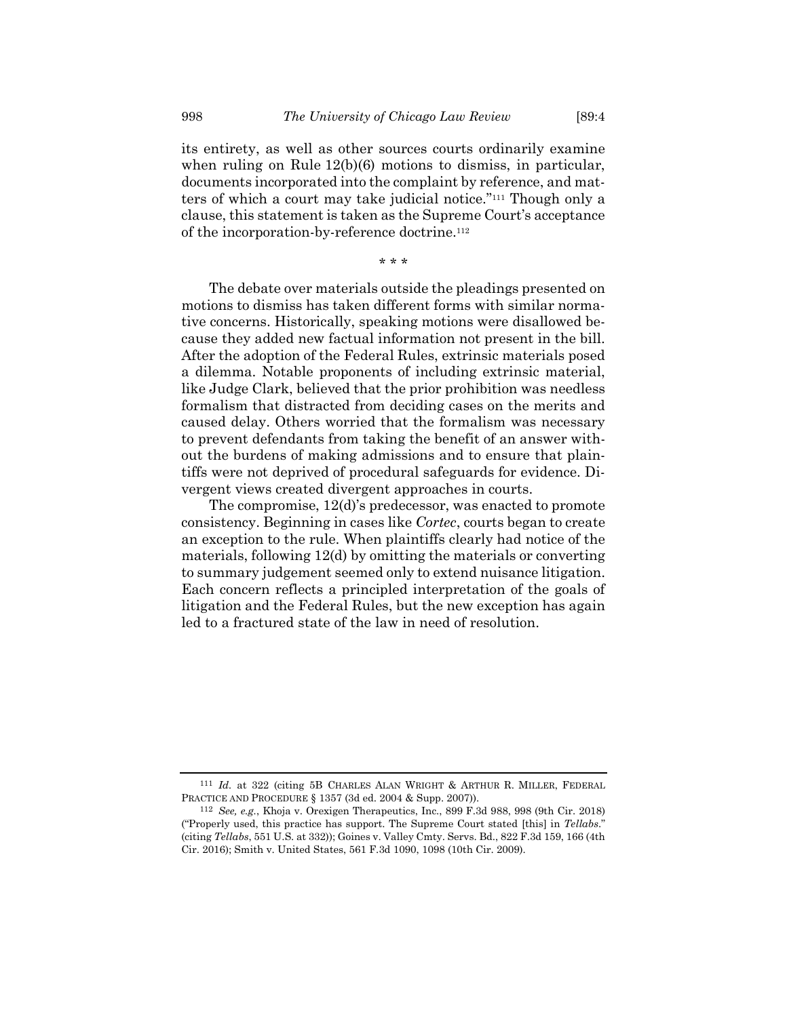its entirety, as well as other sources courts ordinarily examine when ruling on Rule 12(b)(6) motions to dismiss, in particular, documents incorporated into the complaint by reference, and matters of which a court may take judicial notice."<sup>111</sup> Though only a clause, this statement is taken as the Supreme Court's acceptance of the incorporation-by-reference doctrine.<sup>112</sup>

\* \* \*

The debate over materials outside the pleadings presented on motions to dismiss has taken different forms with similar normative concerns. Historically, speaking motions were disallowed because they added new factual information not present in the bill. After the adoption of the Federal Rules, extrinsic materials posed a dilemma. Notable proponents of including extrinsic material, like Judge Clark, believed that the prior prohibition was needless formalism that distracted from deciding cases on the merits and caused delay. Others worried that the formalism was necessary to prevent defendants from taking the benefit of an answer without the burdens of making admissions and to ensure that plaintiffs were not deprived of procedural safeguards for evidence. Divergent views created divergent approaches in courts.

The compromise, 12(d)'s predecessor, was enacted to promote consistency. Beginning in cases like *Cortec*, courts began to create an exception to the rule. When plaintiffs clearly had notice of the materials, following 12(d) by omitting the materials or converting to summary judgement seemed only to extend nuisance litigation. Each concern reflects a principled interpretation of the goals of litigation and the Federal Rules, but the new exception has again led to a fractured state of the law in need of resolution.

<sup>111</sup> *Id.* at 322 (citing 5B CHARLES ALAN WRIGHT & ARTHUR R. MILLER, FEDERAL PRACTICE AND PROCEDURE § 1357 (3d ed. 2004 & Supp. 2007)).

<sup>112</sup> *See, e.g.*, Khoja v. Orexigen Therapeutics, Inc., 899 F.3d 988, 998 (9th Cir. 2018) ("Properly used, this practice has support. The Supreme Court stated [this] in *Tellabs*." (citing *Tellabs*, 551 U.S. at 332)); Goines v. Valley Cmty. Servs. Bd., 822 F.3d 159, 166 (4th Cir. 2016); Smith v. United States, 561 F.3d 1090, 1098 (10th Cir. 2009).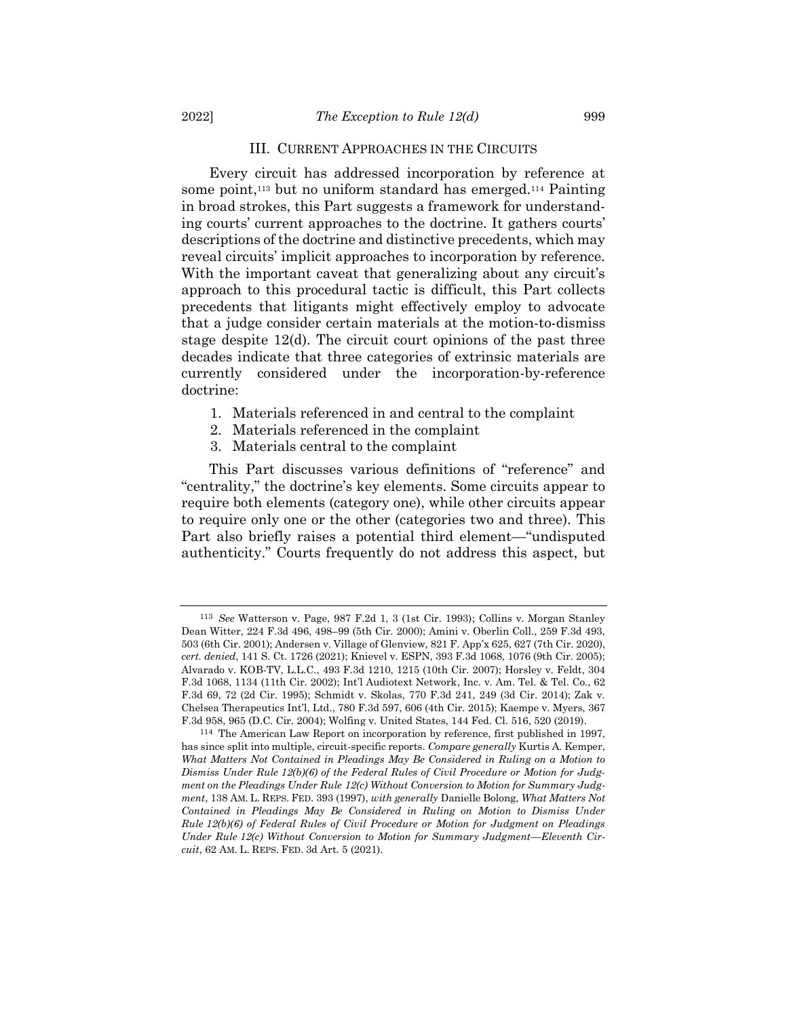#### III. CURRENT APPROACHES IN THE CIRCUITS

Every circuit has addressed incorporation by reference at some point,<sup>113</sup> but no uniform standard has emerged.<sup>114</sup> Painting in broad strokes, this Part suggests a framework for understanding courts' current approaches to the doctrine. It gathers courts' descriptions of the doctrine and distinctive precedents, which may reveal circuits' implicit approaches to incorporation by reference. With the important caveat that generalizing about any circuit's approach to this procedural tactic is difficult, this Part collects precedents that litigants might effectively employ to advocate that a judge consider certain materials at the motion-to-dismiss stage despite 12(d). The circuit court opinions of the past three decades indicate that three categories of extrinsic materials are currently considered under the incorporation-by-reference doctrine:

- 1. Materials referenced in and central to the complaint
- 2. Materials referenced in the complaint
- 3. Materials central to the complaint

This Part discusses various definitions of "reference" and "centrality," the doctrine's key elements. Some circuits appear to require both elements (category one), while other circuits appear to require only one or the other (categories two and three). This Part also briefly raises a potential third element—"undisputed authenticity." Courts frequently do not address this aspect, but

<sup>113</sup> *See* Watterson v. Page, 987 F.2d 1, 3 (1st Cir. 1993); Collins v. Morgan Stanley Dean Witter, 224 F.3d 496, 498–99 (5th Cir. 2000); Amini v. Oberlin Coll., 259 F.3d 493, 503 (6th Cir. 2001); Andersen v. Village of Glenview, 821 F. App'x 625, 627 (7th Cir. 2020), *cert. denied*, 141 S. Ct. 1726 (2021); Knievel v. ESPN, 393 F.3d 1068, 1076 (9th Cir. 2005); Alvarado v. KOB-TV, L.L.C., 493 F.3d 1210, 1215 (10th Cir. 2007); Horsley v. Feldt, 304 F.3d 1068, 1134 (11th Cir. 2002); Int'l Audiotext Network, Inc. v. Am. Tel. & Tel. Co., 62 F.3d 69, 72 (2d Cir. 1995); Schmidt v. Skolas, 770 F.3d 241, 249 (3d Cir. 2014); Zak v. Chelsea Therapeutics Int'l, Ltd., 780 F.3d 597, 606 (4th Cir. 2015); Kaempe v. Myers, 367 F.3d 958, 965 (D.C. Cir. 2004); Wolfing v. United States, 144 Fed. Cl. 516, 520 (2019).

<sup>114</sup> The American Law Report on incorporation by reference, first published in 1997, has since split into multiple, circuit-specific reports. *Compare generally* Kurtis A. Kemper, What Matters Not Contained in Pleadings May Be Considered in Ruling on a Motion to *Dismiss Under Rule 12(b)(6) of the Federal Rules of Civil Procedure or Motion for Judgment on the Pleadings Under Rule 12(c) Without Conversion to Motion for Summary Judgment*, 138 AM. L. REPS. FED. 393 (1997), *with generally* Danielle Bolong, *What Matters Not Contained in Pleadings May Be Considered in Ruling on Motion to Dismiss Under Rule 12(b)(6) of Federal Rules of Civil Procedure or Motion for Judgment on Pleadings Under Rule 12(c) Without Conversion to Motion for Summary Judgment—Eleventh Circuit*, 62 AM. L. REPS. FED. 3d Art. 5 (2021).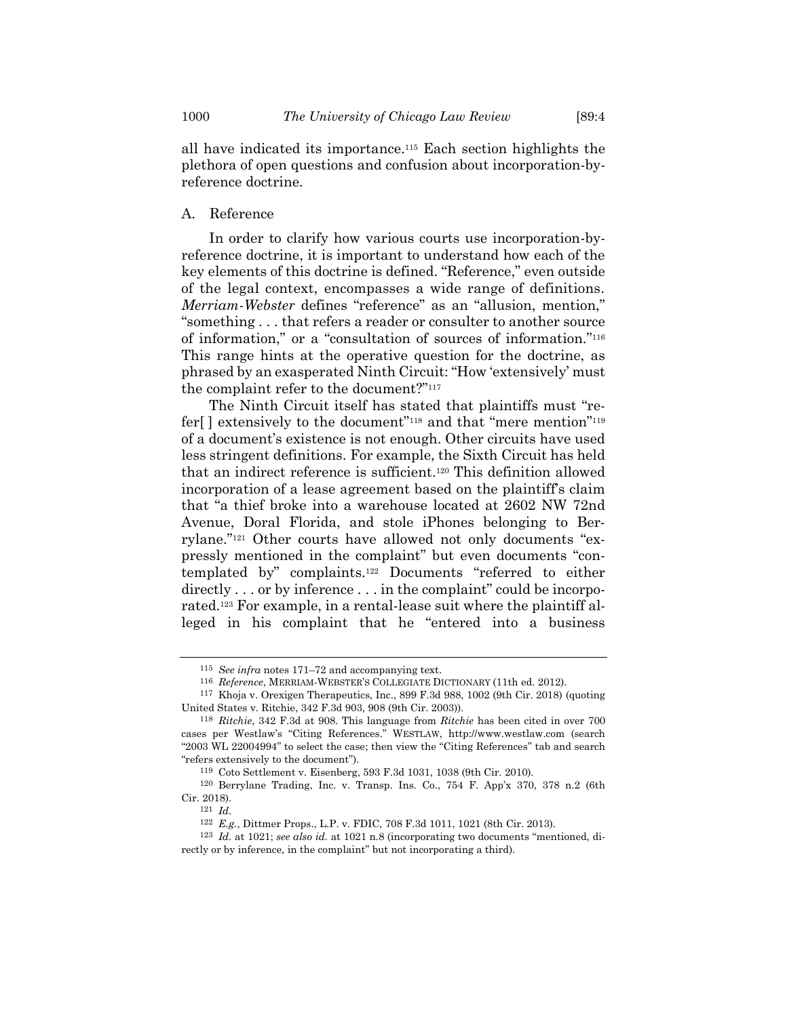all have indicated its importance.<sup>115</sup> Each section highlights the plethora of open questions and confusion about incorporation-byreference doctrine.

A. Reference

In order to clarify how various courts use incorporation-byreference doctrine, it is important to understand how each of the key elements of this doctrine is defined. "Reference," even outside of the legal context, encompasses a wide range of definitions. *Merriam-Webster* defines "reference" as an "allusion, mention," "something . . . that refers a reader or consulter to another source of information," or a "consultation of sources of information."<sup>116</sup> This range hints at the operative question for the doctrine, as phrased by an exasperated Ninth Circuit: "How 'extensively' must the complaint refer to the document?"<sup>117</sup>

<span id="page-21-0"></span>The Ninth Circuit itself has stated that plaintiffs must "refer<sup>[]</sup> extensively to the document"<sup>118</sup> and that "mere mention"<sup>119</sup> of a document's existence is not enough. Other circuits have used less stringent definitions. For example, the Sixth Circuit has held that an indirect reference is sufficient.<sup>120</sup> This definition allowed incorporation of a lease agreement based on the plaintiff's claim that "a thief broke into a warehouse located at 2602 NW 72nd Avenue, Doral Florida, and stole iPhones belonging to Berrylane."<sup>121</sup> Other courts have allowed not only documents "expressly mentioned in the complaint" but even documents "contemplated by" complaints.<sup>122</sup> Documents "referred to either directly . . . or by inference . . . in the complaint" could be incorporated.<sup>123</sup> For example, in a rental-lease suit where the plaintiff alleged in his complaint that he "entered into a business

<sup>115</sup> *See infra* notes [171](#page-29-0)–72 and accompanying text.

<sup>116</sup> *Reference*, MERRIAM-WEBSTER'S COLLEGIATE DICTIONARY (11th ed. 2012).

<sup>117</sup> Khoja v. Orexigen Therapeutics, Inc., 899 F.3d 988, 1002 (9th Cir. 2018) (quoting United States v. Ritchie, 342 F.3d 903, 908 (9th Cir. 2003)).

<sup>118</sup> *Ritchie*, 342 F.3d at 908. This language from *Ritchie* has been cited in over 700 cases per Westlaw's "Citing References." WESTLAW, http://www.westlaw.com (search "2003 WL 22004994" to select the case; then view the "Citing References" tab and search "refers extensively to the document").

<sup>119</sup> Coto Settlement v. Eisenberg, 593 F.3d 1031, 1038 (9th Cir. 2010).

<sup>120</sup> Berrylane Trading, Inc. v. Transp. Ins. Co., 754 F. App'x 370, 378 n.2 (6th Cir. 2018).

<sup>121</sup> *Id.*

<sup>122</sup> *E.g.*, Dittmer Props., L.P. v. FDIC, 708 F.3d 1011, 1021 (8th Cir. 2013).

<sup>123</sup> *Id.* at 1021; *see also id.* at 1021 n.8 (incorporating two documents "mentioned, directly or by inference, in the complaint" but not incorporating a third).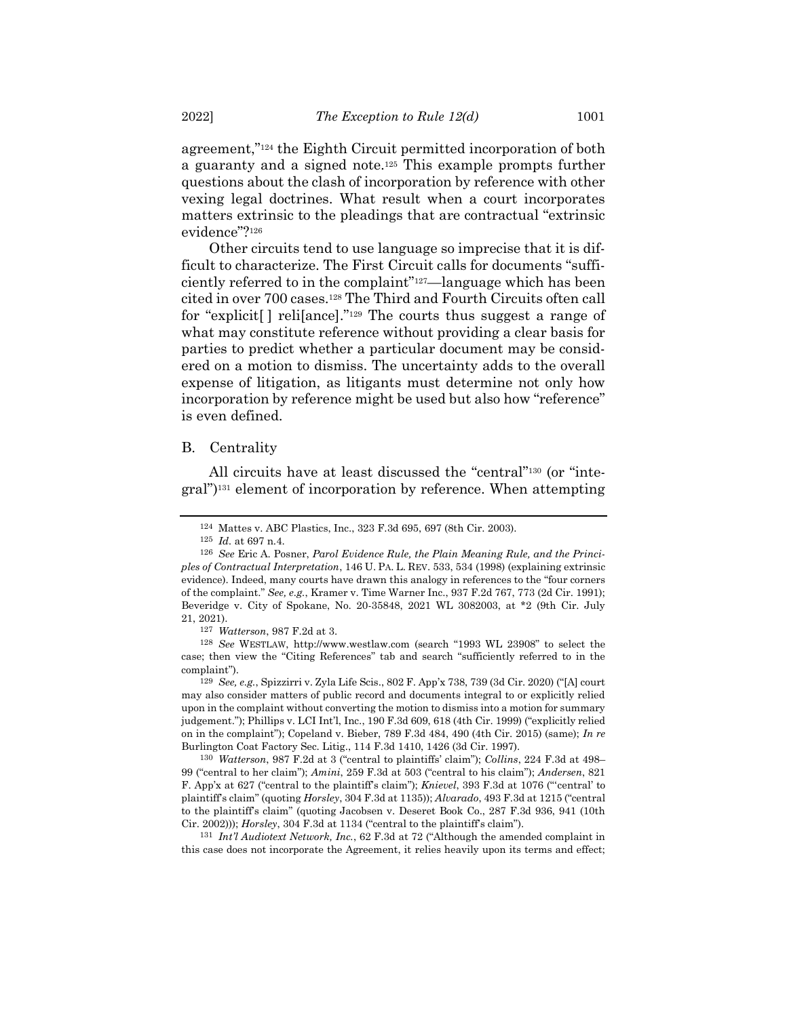agreement,"<sup>124</sup> the Eighth Circuit permitted incorporation of both a guaranty and a signed note.<sup>125</sup> This example prompts further questions about the clash of incorporation by reference with other vexing legal doctrines. What result when a court incorporates matters extrinsic to the pleadings that are contractual "extrinsic evidence"?<sup>126</sup>

<span id="page-22-0"></span>Other circuits tend to use language so imprecise that it is difficult to characterize. The First Circuit calls for documents "sufficiently referred to in the complaint"127—language which has been cited in over 700 cases.<sup>128</sup> The Third and Fourth Circuits often call for "explicit[ ] reli[ance]." <sup>129</sup> The courts thus suggest a range of what may constitute reference without providing a clear basis for parties to predict whether a particular document may be considered on a motion to dismiss. The uncertainty adds to the overall expense of litigation, as litigants must determine not only how incorporation by reference might be used but also how "reference" is even defined.

#### B. Centrality

All circuits have at least discussed the "central" <sup>130</sup> (or "integral")<sup>131</sup> element of incorporation by reference. When attempting

<sup>124</sup> Mattes v. ABC Plastics, Inc., 323 F.3d 695, 697 (8th Cir. 2003).

<sup>125</sup> *Id.* at 697 n.4.

<sup>126</sup> *See* Eric A. Posner, *Parol Evidence Rule, the Plain Meaning Rule, and the Principles of Contractual Interpretation*, 146 U. PA. L. REV. 533, 534 (1998) (explaining extrinsic evidence). Indeed, many courts have drawn this analogy in references to the "four corners of the complaint." *See, e.g.*, Kramer v. Time Warner Inc., 937 F.2d 767, 773 (2d Cir. 1991); Beveridge v. City of Spokane, No. 20-35848, 2021 WL 3082003, at \*2 (9th Cir. July 21, 2021).

<sup>127</sup> *Watterson*, 987 F.2d at 3.

<sup>128</sup> *See* WESTLAW, http://www.westlaw.com (search "1993 WL 23908" to select the case; then view the "Citing References" tab and search "sufficiently referred to in the complaint").

<sup>129</sup> *See, e.g.*, Spizzirri v. Zyla Life Scis., 802 F. App'x 738, 739 (3d Cir. 2020) ("[A] court may also consider matters of public record and documents integral to or explicitly relied upon in the complaint without converting the motion to dismiss into a motion for summary judgement."); Phillips v. LCI Int'l, Inc., 190 F.3d 609, 618 (4th Cir. 1999) ("explicitly relied on in the complaint"); Copeland v. Bieber, 789 F.3d 484, 490 (4th Cir. 2015) (same); *In re* Burlington Coat Factory Sec. Litig., 114 F.3d 1410, 1426 (3d Cir. 1997).

<sup>130</sup> *Watterson*, 987 F.2d at 3 ("central to plaintiffs' claim"); *Collins*, 224 F.3d at 498– 99 ("central to her claim"); *Amini*, 259 F.3d at 503 ("central to his claim"); *Andersen*, 821 F. App'x at 627 ("central to the plaintiff's claim"); *Knievel*, 393 F.3d at 1076 ("'central' to plaintiff's claim" (quoting *Horsley*, 304 F.3d at 1135)); *Alvarado*, 493 F.3d at 1215 ("central to the plaintiff's claim" (quoting Jacobsen v. Deseret Book Co., 287 F.3d 936, 941 (10th Cir. 2002))); *Horsley*, 304 F.3d at 1134 ("central to the plaintiff's claim").

<sup>131</sup> *Int'l Audiotext Network, Inc.*, 62 F.3d at 72 ("Although the amended complaint in this case does not incorporate the Agreement, it relies heavily upon its terms and effect;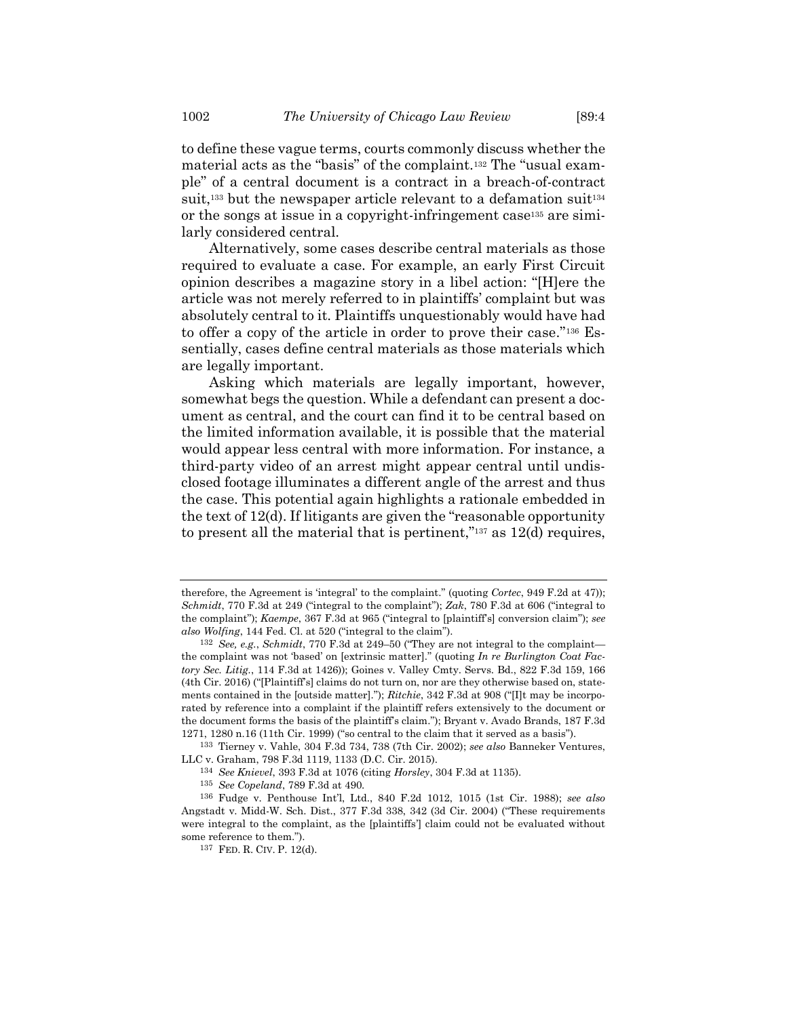to define these vague terms, courts commonly discuss whether the material acts as the "basis" of the complaint.<sup>132</sup> The "usual example" of a central document is a contract in a breach-of-contract suit,<sup>133</sup> but the newspaper article relevant to a defamation suit<sup>134</sup> or the songs at issue in a copyright-infringement case<sup>135</sup> are similarly considered central.

Alternatively, some cases describe central materials as those required to evaluate a case. For example, an early First Circuit opinion describes a magazine story in a libel action: "[H]ere the article was not merely referred to in plaintiffs' complaint but was absolutely central to it. Plaintiffs unquestionably would have had to offer a copy of the article in order to prove their case."<sup>136</sup> Essentially, cases define central materials as those materials which are legally important.

Asking which materials are legally important, however, somewhat begs the question. While a defendant can present a document as central, and the court can find it to be central based on the limited information available, it is possible that the material would appear less central with more information. For instance, a third-party video of an arrest might appear central until undisclosed footage illuminates a different angle of the arrest and thus the case. This potential again highlights a rationale embedded in the text of 12(d). If litigants are given the "reasonable opportunity to present all the material that is pertinent," $137$  as 12(d) requires,

therefore, the Agreement is 'integral' to the complaint." (quoting *Cortec*, 949 F.2d at 47)); *Schmidt*, 770 F.3d at 249 ("integral to the complaint"); *Zak*, 780 F.3d at 606 ("integral to the complaint"); *Kaempe*, 367 F.3d at 965 ("integral to [plaintiff's] conversion claim"); *see also Wolfing*, 144 Fed. Cl. at 520 ("integral to the claim").

<sup>132</sup> *See, e.g.*, *Schmidt*, 770 F.3d at 249–50 ("They are not integral to the complaint the complaint was not 'based' on [extrinsic matter]." (quoting *In re Burlington Coat Factory Sec. Litig.*, 114 F.3d at 1426)); Goines v. Valley Cmty. Servs. Bd., 822 F.3d 159, 166 (4th Cir. 2016) ("[Plaintiff's] claims do not turn on, nor are they otherwise based on, statements contained in the [outside matter]."); *Ritchie*, 342 F.3d at 908 ("[I]t may be incorporated by reference into a complaint if the plaintiff refers extensively to the document or the document forms the basis of the plaintiff's claim."); Bryant v. Avado Brands, 187 F.3d 1271, 1280 n.16 (11th Cir. 1999) ("so central to the claim that it served as a basis").

<sup>133</sup> Tierney v. Vahle, 304 F.3d 734, 738 (7th Cir. 2002); *see also* Banneker Ventures, LLC v. Graham, 798 F.3d 1119, 1133 (D.C. Cir. 2015).

<sup>134</sup> *See Knievel*, 393 F.3d at 1076 (citing *Horsley*, 304 F.3d at 1135).

<sup>135</sup> *See Copeland*, 789 F.3d at 490.

<sup>136</sup> Fudge v. Penthouse Int'l, Ltd., 840 F.2d 1012, 1015 (1st Cir. 1988); *see also* Angstadt v. Midd-W. Sch. Dist., 377 F.3d 338, 342 (3d Cir. 2004) ("These requirements were integral to the complaint, as the [plaintiffs'] claim could not be evaluated without some reference to them.").

<sup>137</sup> FED. R. CIV. P. 12(d).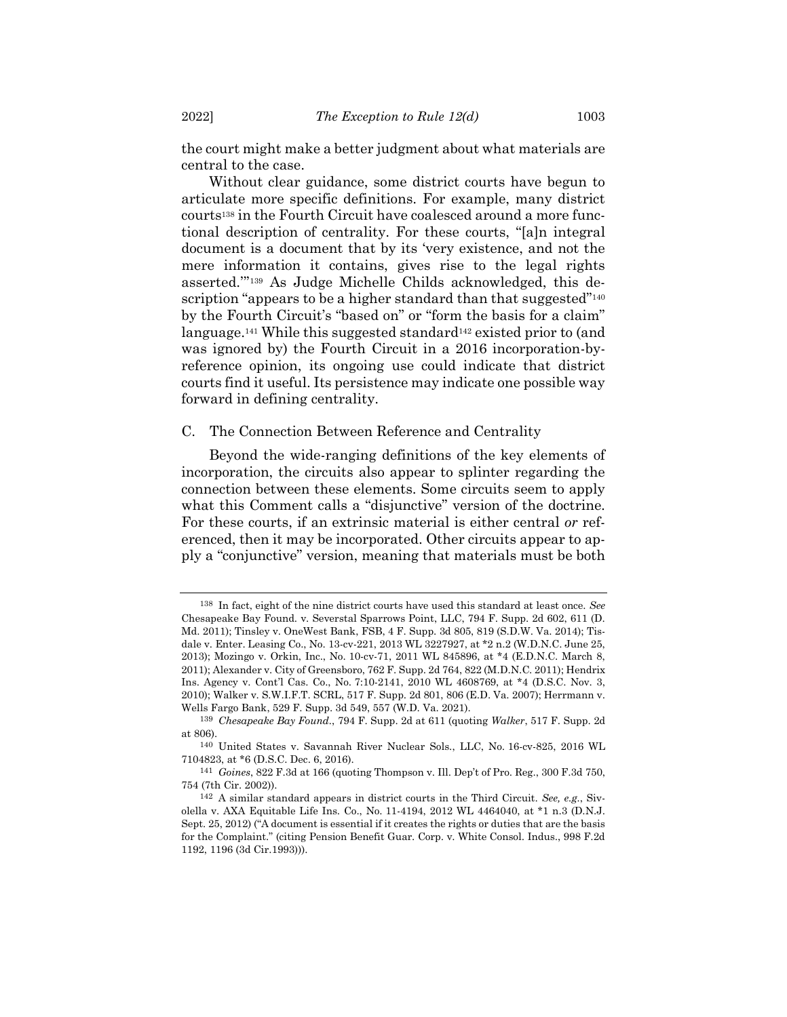the court might make a better judgment about what materials are central to the case.

Without clear guidance, some district courts have begun to articulate more specific definitions. For example, many district courts<sup>138</sup> in the Fourth Circuit have coalesced around a more functional description of centrality. For these courts, "[a]n integral document is a document that by its 'very existence, and not the mere information it contains, gives rise to the legal rights asserted.'" <sup>139</sup> As Judge Michelle Childs acknowledged, this description "appears to be a higher standard than that suggested"<sup>140</sup> by the Fourth Circuit's "based on" or "form the basis for a claim" language.<sup>141</sup> While this suggested standard<sup>142</sup> existed prior to (and was ignored by) the Fourth Circuit in a 2016 incorporation-byreference opinion, its ongoing use could indicate that district courts find it useful. Its persistence may indicate one possible way forward in defining centrality.

## C. The Connection Between Reference and Centrality

Beyond the wide-ranging definitions of the key elements of incorporation, the circuits also appear to splinter regarding the connection between these elements. Some circuits seem to apply what this Comment calls a "disjunctive" version of the doctrine. For these courts, if an extrinsic material is either central *or* referenced, then it may be incorporated. Other circuits appear to apply a "conjunctive" version, meaning that materials must be both

<sup>138</sup> In fact, eight of the nine district courts have used this standard at least once. *See* Chesapeake Bay Found. v. Severstal Sparrows Point, LLC, 794 F. Supp. 2d 602, 611 (D. Md. 2011); Tinsley v. OneWest Bank, FSB, 4 F. Supp. 3d 805, 819 (S.D.W. Va. 2014); Tisdale v. Enter. Leasing Co., No. 13-cv-221, 2013 WL 3227927, at \*2 n.2 (W.D.N.C. June 25, 2013); Mozingo v. Orkin, Inc., No. 10-cv-71, 2011 WL 845896, at \*4 (E.D.N.C. March 8, 2011); Alexander v. City of Greensboro, 762 F. Supp. 2d 764, 822 (M.D.N.C. 2011); Hendrix Ins. Agency v. Cont'l Cas. Co., No. 7:10-2141, 2010 WL 4608769, at \*4 (D.S.C. Nov. 3, 2010); Walker v. S.W.I.F.T. SCRL, 517 F. Supp. 2d 801, 806 (E.D. Va. 2007); Herrmann v. Wells Fargo Bank, 529 F. Supp. 3d 549, 557 (W.D. Va. 2021).

<sup>139</sup> *Chesapeake Bay Found.*, 794 F. Supp. 2d at 611 (quoting *Walker*, 517 F. Supp. 2d at 806).

<sup>140</sup> United States v. Savannah River Nuclear Sols., LLC, No. 16-cv-825, 2016 WL 7104823, at \*6 (D.S.C. Dec. 6, 2016).

<sup>141</sup> *Goines*, 822 F.3d at 166 (quoting Thompson v. Ill. Dep't of Pro. Reg., 300 F.3d 750, 754 (7th Cir. 2002)).

<sup>142</sup> A similar standard appears in district courts in the Third Circuit. *See, e.g.*, Sivolella v. AXA Equitable Life Ins. Co., No. 11-4194, 2012 WL 4464040, at \*1 n.3 (D.N.J. Sept. 25, 2012) ("A document is essential if it creates the rights or duties that are the basis for the Complaint." (citing Pension Benefit Guar. Corp. v. White Consol. Indus., 998 F.2d 1192, 1196 (3d Cir.1993))).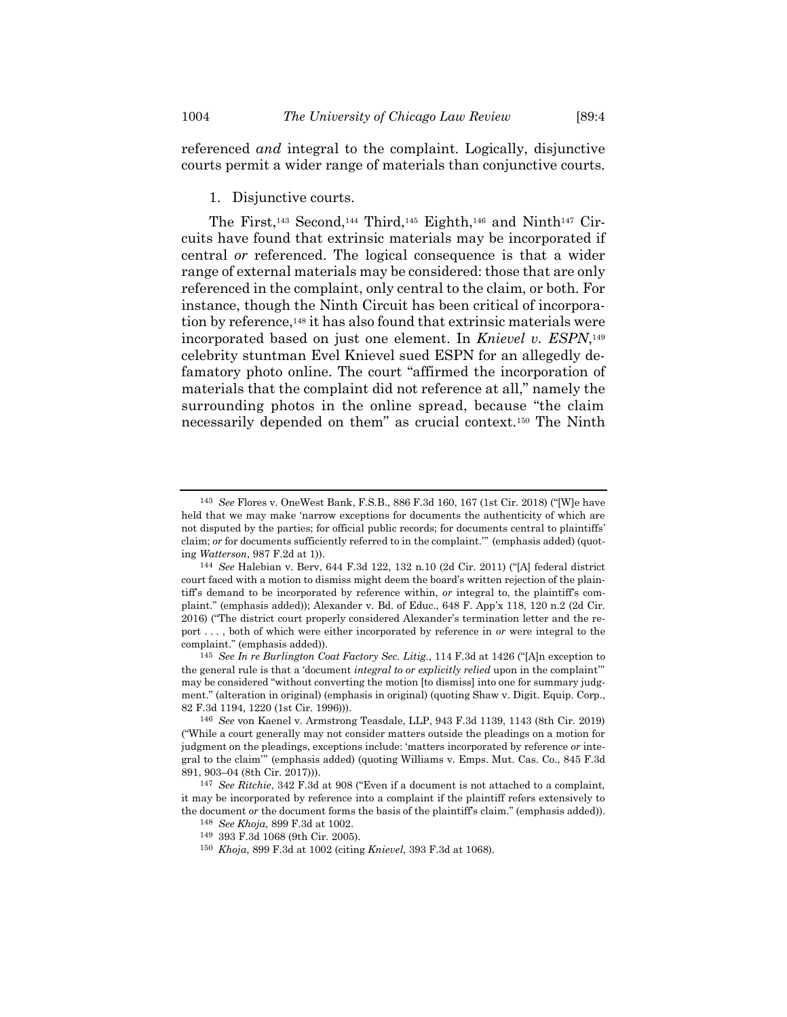referenced *and* integral to the complaint. Logically, disjunctive courts permit a wider range of materials than conjunctive courts.

# 1. Disjunctive courts.

The First,<sup>143</sup> Second,<sup>144</sup> Third,<sup>145</sup> Eighth,<sup>146</sup> and Ninth<sup>147</sup> Circuits have found that extrinsic materials may be incorporated if central *or* referenced. The logical consequence is that a wider range of external materials may be considered: those that are only referenced in the complaint, only central to the claim, or both. For instance, though the Ninth Circuit has been critical of incorporation by reference, <sup>148</sup> it has also found that extrinsic materials were incorporated based on just one element. In *Knievel v. ESPN*, 149 celebrity stuntman Evel Knievel sued ESPN for an allegedly defamatory photo online. The court "affirmed the incorporation of materials that the complaint did not reference at all," namely the surrounding photos in the online spread, because "the claim necessarily depended on them" as crucial context.<sup>150</sup> The Ninth

150 *Khoja*, 899 F.3d at 1002 (citing *Knievel*, 393 F.3d at 1068).

<sup>143</sup> *See* Flores v. OneWest Bank, F.S.B., 886 F.3d 160, 167 (1st Cir. 2018) ("[W]e have held that we may make 'narrow exceptions for documents the authenticity of which are not disputed by the parties; for official public records; for documents central to plaintiffs' claim; *or* for documents sufficiently referred to in the complaint.'" (emphasis added) (quoting *Watterson*, 987 F.2d at 1)).

<sup>144</sup> *See* Halebian v. Berv, 644 F.3d 122, 132 n.10 (2d Cir. 2011) ("[A] federal district court faced with a motion to dismiss might deem the board's written rejection of the plaintiff's demand to be incorporated by reference within, *or* integral to, the plaintiff's complaint." (emphasis added)); Alexander v. Bd. of Educ., 648 F. App'x 118, 120 n.2 (2d Cir. 2016) ("The district court properly considered Alexander's termination letter and the report . . . , both of which were either incorporated by reference in *or* were integral to the complaint." (emphasis added)).

<sup>145</sup> *See In re Burlington Coat Factory Sec. Litig.*, 114 F.3d at 1426 ("[A]n exception to the general rule is that a 'document *integral to or explicitly relied* upon in the complaint'" may be considered "without converting the motion [to dismiss] into one for summary judgment." (alteration in original) (emphasis in original) (quoting Shaw v. Digit. Equip. Corp., 82 F.3d 1194, 1220 (1st Cir. 1996))).

<sup>146</sup> *See* von Kaenel v. Armstrong Teasdale, LLP, 943 F.3d 1139, 1143 (8th Cir. 2019) ("While a court generally may not consider matters outside the pleadings on a motion for judgment on the pleadings, exceptions include: 'matters incorporated by reference *or* integral to the claim'" (emphasis added) (quoting Williams v. Emps. Mut. Cas. Co., 845 F.3d 891, 903–04 (8th Cir. 2017))).

<sup>147</sup> *See Ritchie*, 342 F.3d at 908 ("Even if a document is not attached to a complaint, it may be incorporated by reference into a complaint if the plaintiff refers extensively to the document *or* the document forms the basis of the plaintiff's claim." (emphasis added)).

<sup>148</sup> *See Khoja*, 899 F.3d at 1002.

<sup>149</sup> 393 F.3d 1068 (9th Cir. 2005).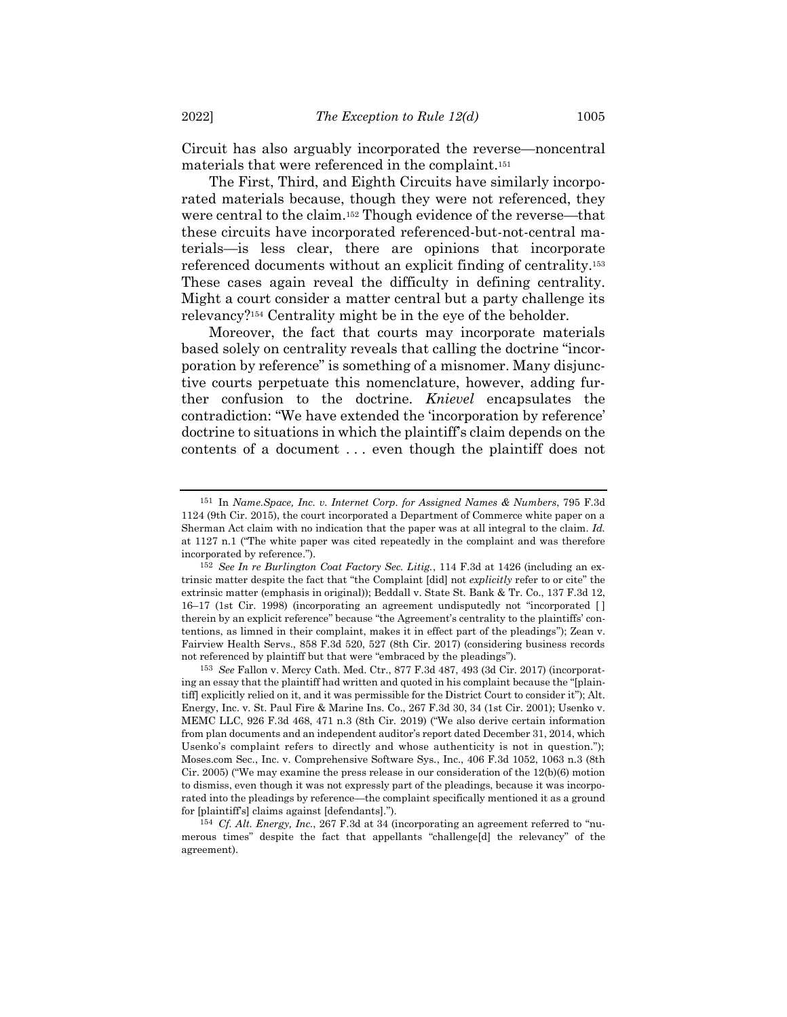Circuit has also arguably incorporated the reverse—noncentral materials that were referenced in the complaint.<sup>151</sup>

The First, Third, and Eighth Circuits have similarly incorporated materials because, though they were not referenced, they were central to the claim.<sup>152</sup> Though evidence of the reverse—that these circuits have incorporated referenced-but-not-central materials—is less clear, there are opinions that incorporate referenced documents without an explicit finding of centrality. 153 These cases again reveal the difficulty in defining centrality. Might a court consider a matter central but a party challenge its relevancy?<sup>154</sup> Centrality might be in the eye of the beholder.

Moreover, the fact that courts may incorporate materials based solely on centrality reveals that calling the doctrine "incorporation by reference" is something of a misnomer. Many disjunctive courts perpetuate this nomenclature, however, adding further confusion to the doctrine. *Knievel* encapsulates the contradiction: "We have extended the 'incorporation by reference' doctrine to situations in which the plaintiff's claim depends on the contents of a document . . . even though the plaintiff does not

<sup>151</sup> In *Name.Space, Inc. v. Internet Corp. for Assigned Names & Numbers*, 795 F.3d 1124 (9th Cir. 2015), the court incorporated a Department of Commerce white paper on a Sherman Act claim with no indication that the paper was at all integral to the claim. *Id.* at 1127 n.1 ("The white paper was cited repeatedly in the complaint and was therefore incorporated by reference.").

<sup>152</sup> *See In re Burlington Coat Factory Sec. Litig.*, 114 F.3d at 1426 (including an extrinsic matter despite the fact that "the Complaint [did] not *explicitly* refer to or cite" the extrinsic matter (emphasis in original)); Beddall v. State St. Bank & Tr. Co., 137 F.3d 12, 16–17 (1st Cir. 1998) (incorporating an agreement undisputedly not "incorporated [ ] therein by an explicit reference" because "the Agreement's centrality to the plaintiffs' contentions, as limned in their complaint, makes it in effect part of the pleadings"); Zean v. Fairview Health Servs., 858 F.3d 520, 527 (8th Cir. 2017) (considering business records not referenced by plaintiff but that were "embraced by the pleadings").

<sup>153</sup> *See* Fallon v. Mercy Cath. Med. Ctr., 877 F.3d 487, 493 (3d Cir. 2017) (incorporating an essay that the plaintiff had written and quoted in his complaint because the "[plaintiff] explicitly relied on it, and it was permissible for the District Court to consider it"); Alt. Energy, Inc. v. St. Paul Fire & Marine Ins. Co., 267 F.3d 30, 34 (1st Cir. 2001); Usenko v. MEMC LLC, 926 F.3d 468, 471 n.3 (8th Cir. 2019) ("We also derive certain information from plan documents and an independent auditor's report dated December 31, 2014, which Usenko's complaint refers to directly and whose authenticity is not in question."); Moses.com Sec., Inc. v. Comprehensive Software Sys., Inc., 406 F.3d 1052, 1063 n.3 (8th Cir. 2005) ("We may examine the press release in our consideration of the 12(b)(6) motion to dismiss, even though it was not expressly part of the pleadings, because it was incorporated into the pleadings by reference—the complaint specifically mentioned it as a ground for [plaintiff's] claims against [defendants].").

<sup>154</sup> *Cf. Alt. Energy, Inc.*, 267 F.3d at 34 (incorporating an agreement referred to "numerous times" despite the fact that appellants "challenge[d] the relevancy" of the agreement).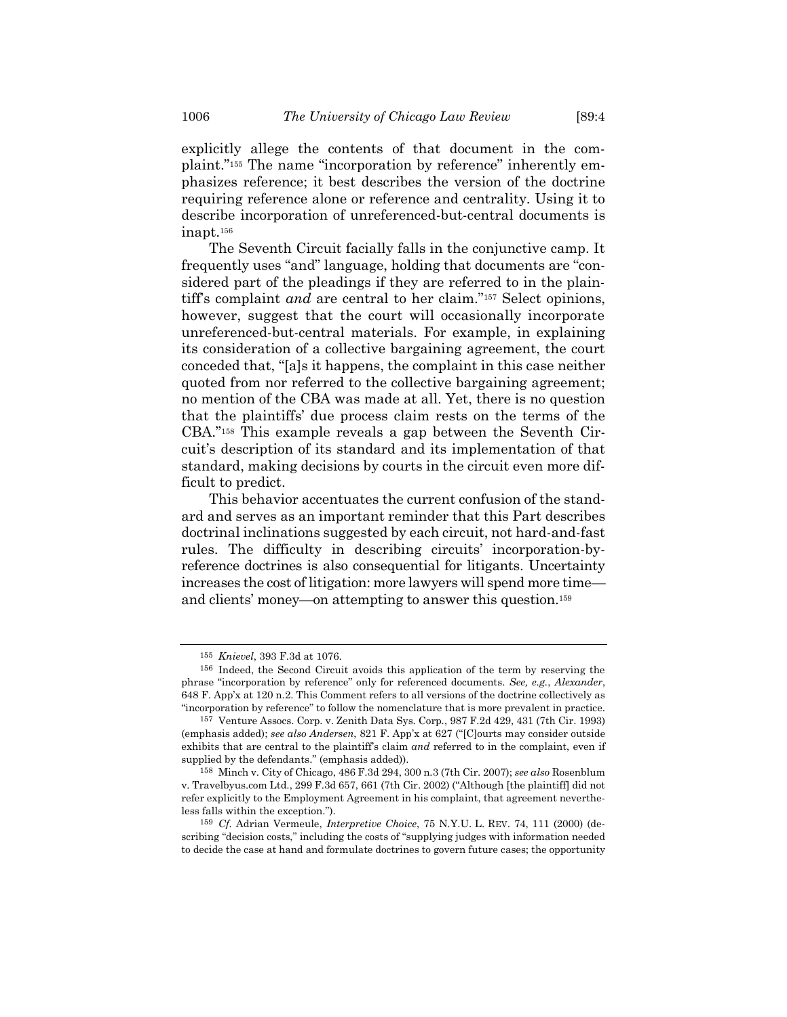explicitly allege the contents of that document in the complaint."<sup>155</sup> The name "incorporation by reference" inherently emphasizes reference; it best describes the version of the doctrine requiring reference alone or reference and centrality. Using it to describe incorporation of unreferenced-but-central documents is inapt.<sup>156</sup>

The Seventh Circuit facially falls in the conjunctive camp. It frequently uses "and" language, holding that documents are "considered part of the pleadings if they are referred to in the plaintiff's complaint *and* are central to her claim."<sup>157</sup> Select opinions, however, suggest that the court will occasionally incorporate unreferenced-but-central materials. For example, in explaining its consideration of a collective bargaining agreement, the court conceded that, "[a]s it happens, the complaint in this case neither quoted from nor referred to the collective bargaining agreement; no mention of the CBA was made at all. Yet, there is no question that the plaintiffs' due process claim rests on the terms of the CBA."<sup>158</sup> This example reveals a gap between the Seventh Circuit's description of its standard and its implementation of that standard, making decisions by courts in the circuit even more difficult to predict.

This behavior accentuates the current confusion of the standard and serves as an important reminder that this Part describes doctrinal inclinations suggested by each circuit, not hard-and-fast rules. The difficulty in describing circuits' incorporation-byreference doctrines is also consequential for litigants. Uncertainty increases the cost of litigation: more lawyers will spend more time and clients' money—on attempting to answer this question. 159

<sup>155</sup> *Knievel*, 393 F.3d at 1076.

<sup>156</sup> Indeed, the Second Circuit avoids this application of the term by reserving the phrase "incorporation by reference" only for referenced documents. *See, e.g.*, *Alexander*, 648 F. App'x at 120 n.2. This Comment refers to all versions of the doctrine collectively as "incorporation by reference" to follow the nomenclature that is more prevalent in practice.

<sup>157</sup> Venture Assocs. Corp. v. Zenith Data Sys. Corp., 987 F.2d 429, 431 (7th Cir. 1993) (emphasis added); *see also Andersen*, 821 F. App'x at 627 ("[C]ourts may consider outside exhibits that are central to the plaintiff's claim *and* referred to in the complaint, even if supplied by the defendants." (emphasis added)).

<sup>158</sup> Minch v. City of Chicago, 486 F.3d 294, 300 n.3 (7th Cir. 2007); *see also* Rosenblum v. Travelbyus.com Ltd., 299 F.3d 657, 661 (7th Cir. 2002) ("Although [the plaintiff] did not refer explicitly to the Employment Agreement in his complaint, that agreement nevertheless falls within the exception.").

<sup>159</sup> *Cf.* Adrian Vermeule, *Interpretive Choice*, 75 N.Y.U. L. REV. 74, 111 (2000) (describing "decision costs," including the costs of "supplying judges with information needed to decide the case at hand and formulate doctrines to govern future cases; the opportunity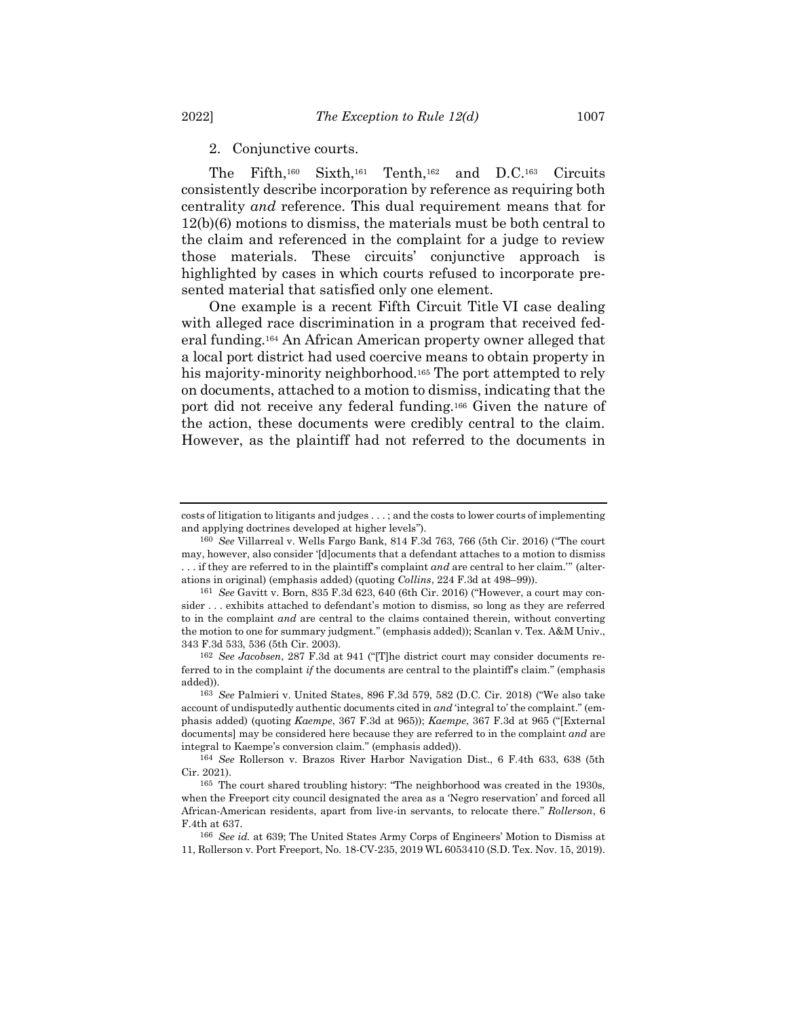2. Conjunctive courts.

The Fifth,<sup>160</sup> Sixth,<sup>161</sup> Tenth,<sup>162</sup> and D.C.<sup>163</sup> Circuits consistently describe incorporation by reference as requiring both centrality *and* reference. This dual requirement means that for 12(b)(6) motions to dismiss, the materials must be both central to the claim and referenced in the complaint for a judge to review those materials. These circuits' conjunctive approach is highlighted by cases in which courts refused to incorporate presented material that satisfied only one element.

One example is a recent Fifth Circuit Title VI case dealing with alleged race discrimination in a program that received federal funding.<sup>164</sup> An African American property owner alleged that a local port district had used coercive means to obtain property in his majority-minority neighborhood.<sup>165</sup> The port attempted to rely on documents, attached to a motion to dismiss, indicating that the port did not receive any federal funding.<sup>166</sup> Given the nature of the action, these documents were credibly central to the claim. However, as the plaintiff had not referred to the documents in

costs of litigation to litigants and judges . . . ; and the costs to lower courts of implementing and applying doctrines developed at higher levels").

<sup>160</sup> *See* Villarreal v. Wells Fargo Bank, 814 F.3d 763, 766 (5th Cir. 2016) ("The court may, however, also consider '[d]ocuments that a defendant attaches to a motion to dismiss . . . if they are referred to in the plaintiff's complaint *and* are central to her claim.'" (alterations in original) (emphasis added) (quoting *Collins*, 224 F.3d at 498–99)).

<sup>161</sup> *See* Gavitt v. Born, 835 F.3d 623, 640 (6th Cir. 2016) ("However, a court may consider . . . exhibits attached to defendant's motion to dismiss, so long as they are referred to in the complaint *and* are central to the claims contained therein, without converting the motion to one for summary judgment." (emphasis added)); Scanlan v. Tex. A&M Univ., 343 F.3d 533, 536 (5th Cir. 2003).

<sup>162</sup> *See Jacobsen*, 287 F.3d at 941 ("[T]he district court may consider documents referred to in the complaint *if* the documents are central to the plaintiff's claim." (emphasis added)).

<sup>163</sup> *See* Palmieri v. United States, 896 F.3d 579, 582 (D.C. Cir. 2018) ("We also take account of undisputedly authentic documents cited in *and* 'integral to' the complaint." (emphasis added) (quoting *Kaempe*, 367 F.3d at 965)); *Kaempe*, 367 F.3d at 965 ("[External documents] may be considered here because they are referred to in the complaint *and* are integral to Kaempe's conversion claim." (emphasis added)).

<sup>164</sup> *See* Rollerson v. Brazos River Harbor Navigation Dist., 6 F.4th 633, 638 (5th Cir. 2021).

<sup>165</sup> The court shared troubling history: "The neighborhood was created in the 1930s, when the Freeport city council designated the area as a 'Negro reservation' and forced all African-American residents, apart from live-in servants, to relocate there." *Rollerson*, 6 F.4th at 637.

<sup>166</sup> *See id.* at 639; The United States Army Corps of Engineers' Motion to Dismiss at 11, Rollerson v. Port Freeport, No. 18-CV-235, 2019 WL 6053410 (S.D. Tex. Nov. 15, 2019).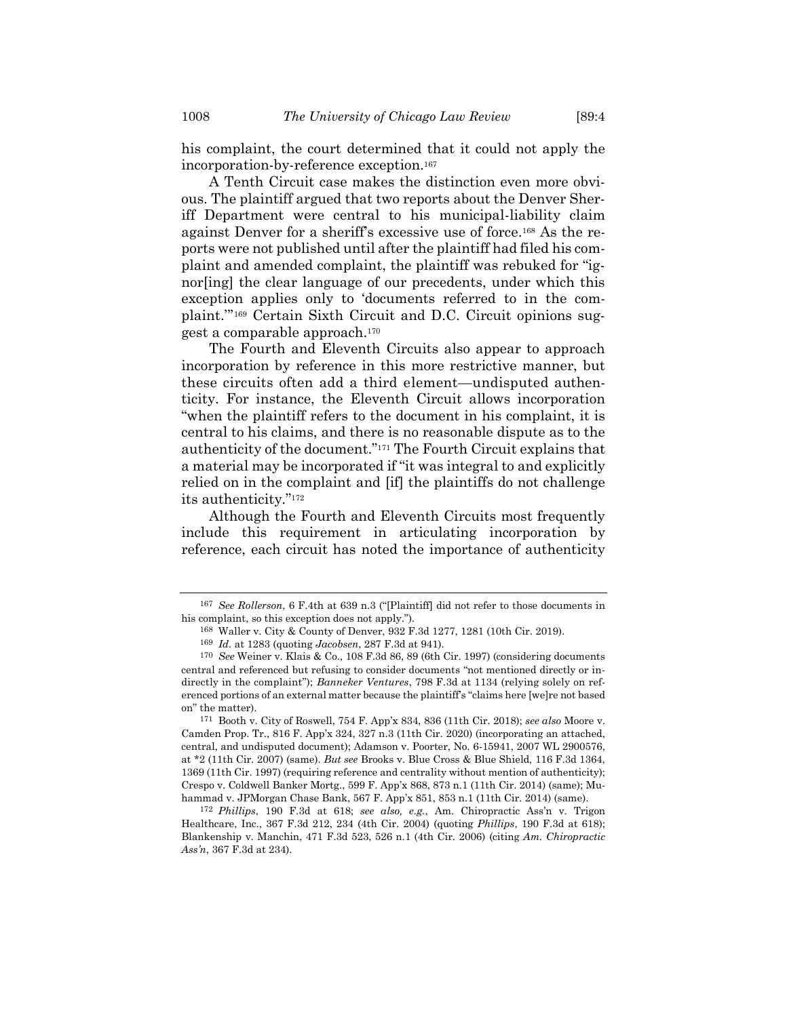his complaint, the court determined that it could not apply the incorporation-by-reference exception.<sup>167</sup>

A Tenth Circuit case makes the distinction even more obvious. The plaintiff argued that two reports about the Denver Sheriff Department were central to his municipal-liability claim against Denver for a sheriff's excessive use of force.<sup>168</sup> As the reports were not published until after the plaintiff had filed his complaint and amended complaint, the plaintiff was rebuked for "ignor[ing] the clear language of our precedents, under which this exception applies only to 'documents referred to in the complaint.'" <sup>169</sup> Certain Sixth Circuit and D.C. Circuit opinions suggest a comparable approach.<sup>170</sup>

The Fourth and Eleventh Circuits also appear to approach incorporation by reference in this more restrictive manner, but these circuits often add a third element—undisputed authenticity. For instance, the Eleventh Circuit allows incorporation "when the plaintiff refers to the document in his complaint, it is central to his claims, and there is no reasonable dispute as to the authenticity of the document."<sup>171</sup> The Fourth Circuit explains that a material may be incorporated if "it was integral to and explicitly relied on in the complaint and [if] the plaintiffs do not challenge its authenticity."<sup>172</sup>

<span id="page-29-0"></span>Although the Fourth and Eleventh Circuits most frequently include this requirement in articulating incorporation by reference, each circuit has noted the importance of authenticity

<sup>167</sup> *See Rollerson*, 6 F.4th at 639 n.3 ("[Plaintiff] did not refer to those documents in his complaint, so this exception does not apply.").

<sup>168</sup> Waller v. City & County of Denver, 932 F.3d 1277, 1281 (10th Cir. 2019).

<sup>169</sup> *Id.* at 1283 (quoting *Jacobsen*, 287 F.3d at 941).

<sup>170</sup> *See* Weiner v. Klais & Co., 108 F.3d 86, 89 (6th Cir. 1997) (considering documents central and referenced but refusing to consider documents "not mentioned directly or indirectly in the complaint"); *Banneker Ventures*, 798 F.3d at 1134 (relying solely on referenced portions of an external matter because the plaintiff's "claims here [we]re not based on" the matter).

<sup>171</sup> Booth v. City of Roswell, 754 F. App'x 834, 836 (11th Cir. 2018); *see also* Moore v. Camden Prop. Tr., 816 F. App'x 324, 327 n.3 (11th Cir. 2020) (incorporating an attached, central, and undisputed document); Adamson v. Poorter, No. 6-15941, 2007 WL 2900576, at \*2 (11th Cir. 2007) (same). *But see* Brooks v. Blue Cross & Blue Shield, 116 F.3d 1364, 1369 (11th Cir. 1997) (requiring reference and centrality without mention of authenticity); Crespo v. Coldwell Banker Mortg., 599 F. App'x 868, 873 n.1 (11th Cir. 2014) (same); Muhammad v. JPMorgan Chase Bank, 567 F. App'x 851, 853 n.1 (11th Cir. 2014) (same).

<sup>172</sup> *Phillips*, 190 F.3d at 618; *see also, e.g.*, Am. Chiropractic Ass'n v. Trigon Healthcare, Inc., 367 F.3d 212, 234 (4th Cir. 2004) (quoting *Phillips*, 190 F.3d at 618); Blankenship v. Manchin, 471 F.3d 523, 526 n.1 (4th Cir. 2006) (citing *Am. Chiropractic Ass'n*, 367 F.3d at 234).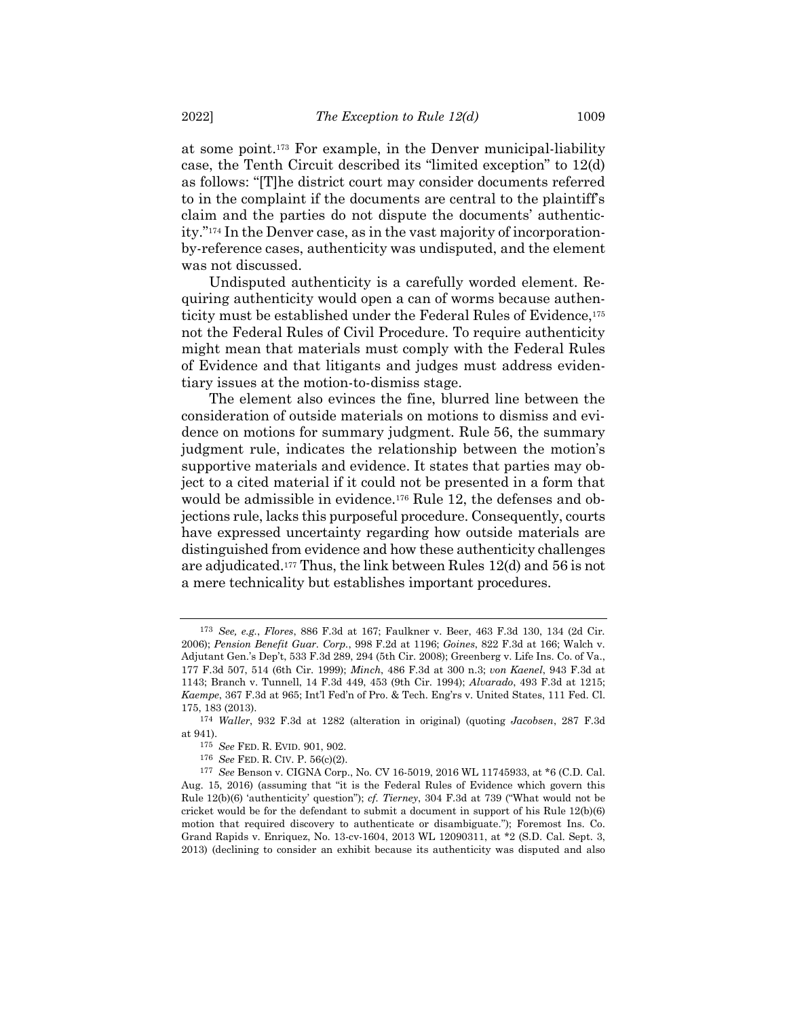at some point.<sup>173</sup> For example, in the Denver municipal-liability case, the Tenth Circuit described its "limited exception" to 12(d) as follows: "[T]he district court may consider documents referred to in the complaint if the documents are central to the plaintiff's claim and the parties do not dispute the documents' authenticity."<sup>174</sup> In the Denver case, as in the vast majority of incorporationby-reference cases, authenticity was undisputed, and the element was not discussed.

Undisputed authenticity is a carefully worded element. Requiring authenticity would open a can of worms because authenticity must be established under the Federal Rules of Evidence,<sup>175</sup> not the Federal Rules of Civil Procedure. To require authenticity might mean that materials must comply with the Federal Rules of Evidence and that litigants and judges must address evidentiary issues at the motion-to-dismiss stage.

The element also evinces the fine, blurred line between the consideration of outside materials on motions to dismiss and evidence on motions for summary judgment. Rule 56, the summary judgment rule, indicates the relationship between the motion's supportive materials and evidence. It states that parties may object to a cited material if it could not be presented in a form that would be admissible in evidence.<sup>176</sup> Rule 12, the defenses and objections rule, lacks this purposeful procedure. Consequently, courts have expressed uncertainty regarding how outside materials are distinguished from evidence and how these authenticity challenges are adjudicated. <sup>177</sup> Thus, the link between Rules 12(d) and 56 is not a mere technicality but establishes important procedures.

<sup>173</sup> *See, e.g.*, *Flores*, 886 F.3d at 167; Faulkner v. Beer, 463 F.3d 130, 134 (2d Cir. 2006); *Pension Benefit Guar. Corp.*, 998 F.2d at 1196; *Goines*, 822 F.3d at 166; Walch v. Adjutant Gen.'s Dep't, 533 F.3d 289, 294 (5th Cir. 2008); Greenberg v. Life Ins. Co. of Va., 177 F.3d 507, 514 (6th Cir. 1999); *Minch*, 486 F.3d at 300 n.3; *von Kaenel*, 943 F.3d at 1143; Branch v. Tunnell, 14 F.3d 449, 453 (9th Cir. 1994); *Alvarado*, 493 F.3d at 1215; *Kaempe*, 367 F.3d at 965; Int'l Fed'n of Pro. & Tech. Eng'rs v. United States, 111 Fed. Cl. 175, 183 (2013).

<sup>174</sup> *Waller*, 932 F.3d at 1282 (alteration in original) (quoting *Jacobsen*, 287 F.3d at 941).

<sup>175</sup> *See* FED. R. EVID. 901, 902.

<sup>176</sup> *See* FED. R. CIV. P. 56(c)(2).

<sup>177</sup> *See* Benson v. CIGNA Corp., No. CV 16-5019, 2016 WL 11745933, at \*6 (C.D. Cal. Aug. 15, 2016) (assuming that "it is the Federal Rules of Evidence which govern this Rule 12(b)(6) 'authenticity' question"); *cf. Tierney*, 304 F.3d at 739 ("What would not be cricket would be for the defendant to submit a document in support of his Rule  $12(b)(6)$ motion that required discovery to authenticate or disambiguate."); Foremost Ins. Co. Grand Rapids v. Enriquez, No. 13-cv-1604, 2013 WL 12090311, at \*2 (S.D. Cal. Sept. 3, 2013) (declining to consider an exhibit because its authenticity was disputed and also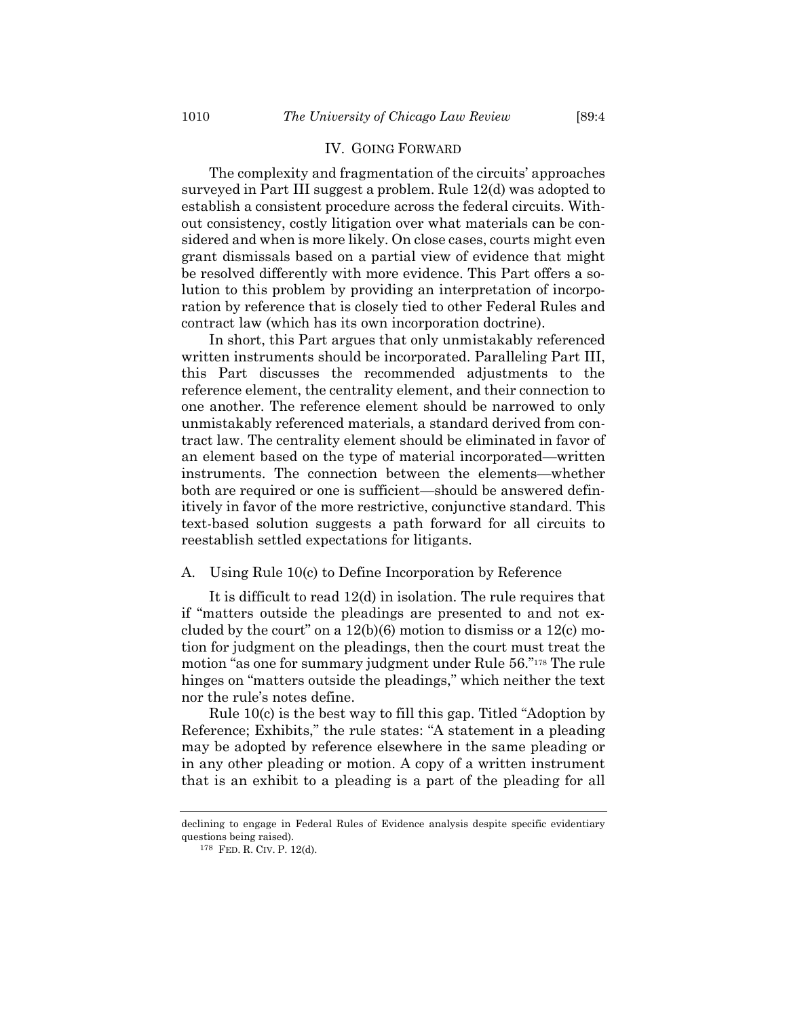#### IV. GOING FORWARD

The complexity and fragmentation of the circuits' approaches surveyed in Part III suggest a problem. Rule 12(d) was adopted to establish a consistent procedure across the federal circuits. Without consistency, costly litigation over what materials can be considered and when is more likely. On close cases, courts might even grant dismissals based on a partial view of evidence that might be resolved differently with more evidence. This Part offers a solution to this problem by providing an interpretation of incorporation by reference that is closely tied to other Federal Rules and contract law (which has its own incorporation doctrine).

In short, this Part argues that only unmistakably referenced written instruments should be incorporated. Paralleling Part III, this Part discusses the recommended adjustments to the reference element, the centrality element, and their connection to one another. The reference element should be narrowed to only unmistakably referenced materials, a standard derived from contract law. The centrality element should be eliminated in favor of an element based on the type of material incorporated—written instruments. The connection between the elements—whether both are required or one is sufficient—should be answered definitively in favor of the more restrictive, conjunctive standard. This text-based solution suggests a path forward for all circuits to reestablish settled expectations for litigants.

# A. Using Rule 10(c) to Define Incorporation by Reference

It is difficult to read 12(d) in isolation. The rule requires that if "matters outside the pleadings are presented to and not excluded by the court" on a  $12(b)(6)$  motion to dismiss or a  $12(c)$  motion for judgment on the pleadings, then the court must treat the motion "as one for summary judgment under Rule 56."<sup>178</sup> The rule hinges on "matters outside the pleadings," which neither the text nor the rule's notes define.

Rule 10(c) is the best way to fill this gap. Titled "Adoption by Reference; Exhibits," the rule states: "A statement in a pleading may be adopted by reference elsewhere in the same pleading or in any other pleading or motion. A copy of a written instrument that is an exhibit to a pleading is a part of the pleading for all

declining to engage in Federal Rules of Evidence analysis despite specific evidentiary questions being raised).

<sup>178</sup> FED. R. CIV. P. 12(d).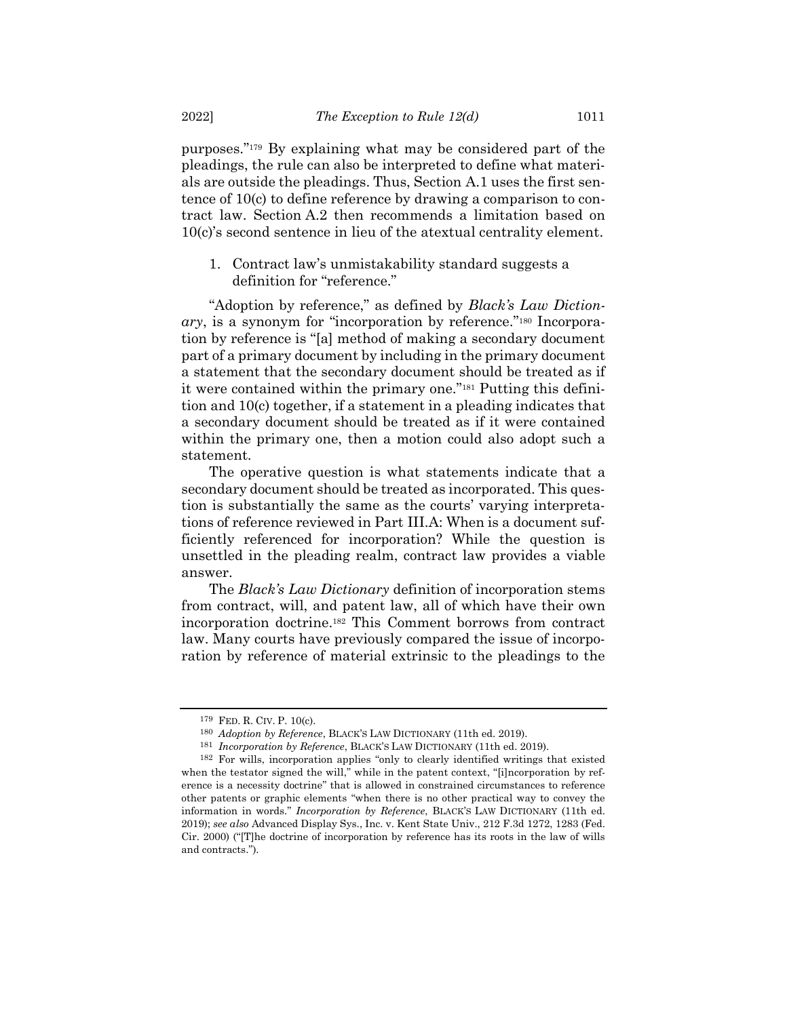purposes."<sup>179</sup> By explaining what may be considered part of the pleadings, the rule can also be interpreted to define what materials are outside the pleadings. Thus, Section A.1 uses the first sentence of 10(c) to define reference by drawing a comparison to contract law. Section A.2 then recommends a limitation based on 10(c)'s second sentence in lieu of the atextual centrality element.

1. Contract law's unmistakability standard suggests a definition for "reference."

"Adoption by reference," as defined by *Black's Law Diction*ary, is a synonym for "incorporation by reference."<sup>180</sup> Incorporation by reference is "[a] method of making a secondary document part of a primary document by including in the primary document a statement that the secondary document should be treated as if it were contained within the primary one."<sup>181</sup> Putting this definition and 10(c) together, if a statement in a pleading indicates that a secondary document should be treated as if it were contained within the primary one, then a motion could also adopt such a statement.

The operative question is what statements indicate that a secondary document should be treated as incorporated. This question is substantially the same as the courts' varying interpretations of reference reviewed in Part III.A: When is a document sufficiently referenced for incorporation? While the question is unsettled in the pleading realm, contract law provides a viable answer.

The *Black's Law Dictionary* definition of incorporation stems from contract, will, and patent law, all of which have their own incorporation doctrine.<sup>182</sup> This Comment borrows from contract law. Many courts have previously compared the issue of incorporation by reference of material extrinsic to the pleadings to the

<sup>179</sup> FED. R. CIV. P. 10(c).

<sup>180</sup> *Adoption by Reference*, BLACK'S LAW DICTIONARY (11th ed. 2019).

<sup>181</sup> *Incorporation by Reference*, BLACK'S LAW DICTIONARY (11th ed. 2019).

<sup>182</sup> For wills, incorporation applies "only to clearly identified writings that existed when the testator signed the will," while in the patent context, "[i]ncorporation by reference is a necessity doctrine" that is allowed in constrained circumstances to reference other patents or graphic elements "when there is no other practical way to convey the information in words." *Incorporation by Reference*, BLACK'S LAW DICTIONARY (11th ed. 2019); *see also* Advanced Display Sys., Inc. v. Kent State Univ., 212 F.3d 1272, 1283 (Fed. Cir. 2000) ("[T]he doctrine of incorporation by reference has its roots in the law of wills and contracts.").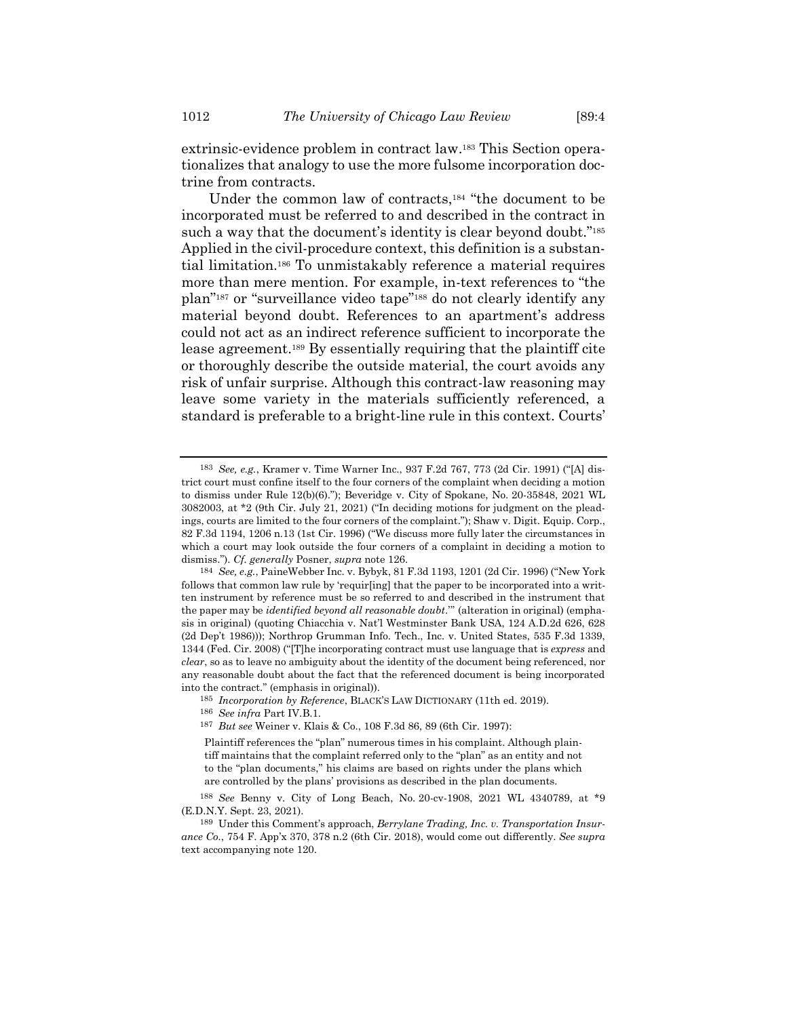extrinsic-evidence problem in contract law. <sup>183</sup> This Section operationalizes that analogy to use the more fulsome incorporation doctrine from contracts.

Under the common law of contracts,<sup>184</sup> "the document to be incorporated must be referred to and described in the contract in such a way that the document's identity is clear beyond doubt."<sup>185</sup> Applied in the civil-procedure context, this definition is a substantial limitation.<sup>186</sup> To unmistakably reference a material requires more than mere mention. For example, in-text references to "the plan"<sup>187</sup> or "surveillance video tape"<sup>188</sup> do not clearly identify any material beyond doubt. References to an apartment's address could not act as an indirect reference sufficient to incorporate the lease agreement.<sup>189</sup> By essentially requiring that the plaintiff cite or thoroughly describe the outside material, the court avoids any risk of unfair surprise. Although this contract-law reasoning may leave some variety in the materials sufficiently referenced, a standard is preferable to a bright-line rule in this context. Courts'

<sup>183</sup> *See, e.g.*, Kramer v. Time Warner Inc., 937 F.2d 767, 773 (2d Cir. 1991) ("[A] district court must confine itself to the four corners of the complaint when deciding a motion to dismiss under Rule 12(b)(6)."); Beveridge v. City of Spokane, No. 20-35848, 2021 WL 3082003, at \*2 (9th Cir. July 21, 2021) ("In deciding motions for judgment on the pleadings, courts are limited to the four corners of the complaint."); Shaw v. Digit. Equip. Corp., 82 F.3d 1194, 1206 n.13 (1st Cir. 1996) ("We discuss more fully later the circumstances in which a court may look outside the four corners of a complaint in deciding a motion to dismiss."). *Cf. generally* Posner, *supra* note [126.](#page-22-0)

<sup>184</sup> *See, e.g.*, PaineWebber Inc. v. Bybyk, 81 F.3d 1193, 1201 (2d Cir. 1996) ("New York follows that common law rule by 'requir[ing] that the paper to be incorporated into a written instrument by reference must be so referred to and described in the instrument that the paper may be *identified beyond all reasonable doubt*.'" (alteration in original) (emphasis in original) (quoting Chiacchia v. Nat'l Westminster Bank USA, 124 A.D.2d 626, 628 (2d Dep't 1986))); Northrop Grumman Info. Tech., Inc. v. United States, 535 F.3d 1339, 1344 (Fed. Cir. 2008) ("[T]he incorporating contract must use language that is *express* and *clear*, so as to leave no ambiguity about the identity of the document being referenced, nor any reasonable doubt about the fact that the referenced document is being incorporated into the contract." (emphasis in original)).

<sup>185</sup> *Incorporation by Reference*, BLACK'S LAW DICTIONARY (11th ed. 2019). 186 *See infra* Part IV.B.1.

<sup>187</sup> *But see* Weiner v. Klais & Co., 108 F.3d 86, 89 (6th Cir. 1997):

Plaintiff references the "plan" numerous times in his complaint. Although plaintiff maintains that the complaint referred only to the "plan" as an entity and not to the "plan documents," his claims are based on rights under the plans which are controlled by the plans' provisions as described in the plan documents.

<sup>188</sup> *See* Benny v. City of Long Beach, No. 20-cv-1908, 2021 WL 4340789, at \*9 (E.D.N.Y. Sept. 23, 2021).

<sup>189</sup> Under this Comment's approach, *Berrylane Trading, Inc. v. Transportation Insurance Co.*, 754 F. App'x 370, 378 n.2 (6th Cir. 2018), would come out differently. *See supra* text accompanying note [120.](#page-21-0)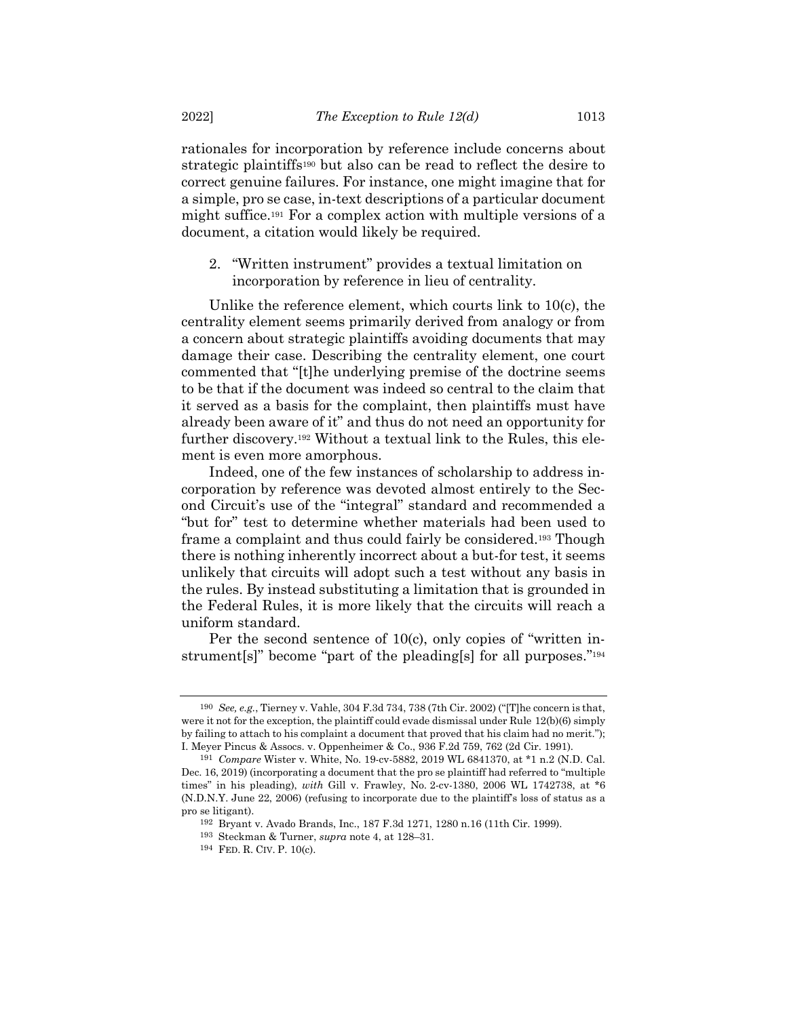rationales for incorporation by reference include concerns about strategic plaintiffs<sup>190</sup> but also can be read to reflect the desire to correct genuine failures. For instance, one might imagine that for a simple, pro se case, in-text descriptions of a particular document might suffice.<sup>191</sup> For a complex action with multiple versions of a document, a citation would likely be required.

2. "Written instrument" provides a textual limitation on incorporation by reference in lieu of centrality.

Unlike the reference element, which courts link to 10(c), the centrality element seems primarily derived from analogy or from a concern about strategic plaintiffs avoiding documents that may damage their case. Describing the centrality element, one court commented that "[t]he underlying premise of the doctrine seems to be that if the document was indeed so central to the claim that it served as a basis for the complaint, then plaintiffs must have already been aware of it" and thus do not need an opportunity for further discovery.<sup>192</sup> Without a textual link to the Rules, this element is even more amorphous.

Indeed, one of the few instances of scholarship to address incorporation by reference was devoted almost entirely to the Second Circuit's use of the "integral" standard and recommended a "but for" test to determine whether materials had been used to frame a complaint and thus could fairly be considered.<sup>193</sup> Though there is nothing inherently incorrect about a but-for test, it seems unlikely that circuits will adopt such a test without any basis in the rules. By instead substituting a limitation that is grounded in the Federal Rules, it is more likely that the circuits will reach a uniform standard.

Per the second sentence of 10(c), only copies of "written instrument<sup>[s]</sup>" become "part of the pleading<sup>[s]</sup> for all purposes."<sup>194</sup>

<sup>190</sup> *See, e.g.*, Tierney v. Vahle, 304 F.3d 734, 738 (7th Cir. 2002) ("[T]he concern is that, were it not for the exception, the plaintiff could evade dismissal under Rule 12(b)(6) simply by failing to attach to his complaint a document that proved that his claim had no merit."); I. Meyer Pincus & Assocs. v. Oppenheimer & Co., 936 F.2d 759, 762 (2d Cir. 1991).

<sup>191</sup> *Compare* Wister v. White, No. 19-cv-5882, 2019 WL 6841370, at \*1 n.2 (N.D. Cal. Dec. 16, 2019) (incorporating a document that the pro se plaintiff had referred to "multiple times" in his pleading), *with* Gill v. Frawley, No. 2-cv-1380, 2006 WL 1742738, at \*6 (N.D.N.Y. June 22, 2006) (refusing to incorporate due to the plaintiff's loss of status as a pro se litigant).

<sup>192</sup> Bryant v. Avado Brands, Inc., 187 F.3d 1271, 1280 n.16 (11th Cir. 1999).

<sup>193</sup> Steckman & Turner, *supra* note [4,](#page-1-0) at 128–31.

<sup>194</sup> FED. R. CIV. P. 10(c).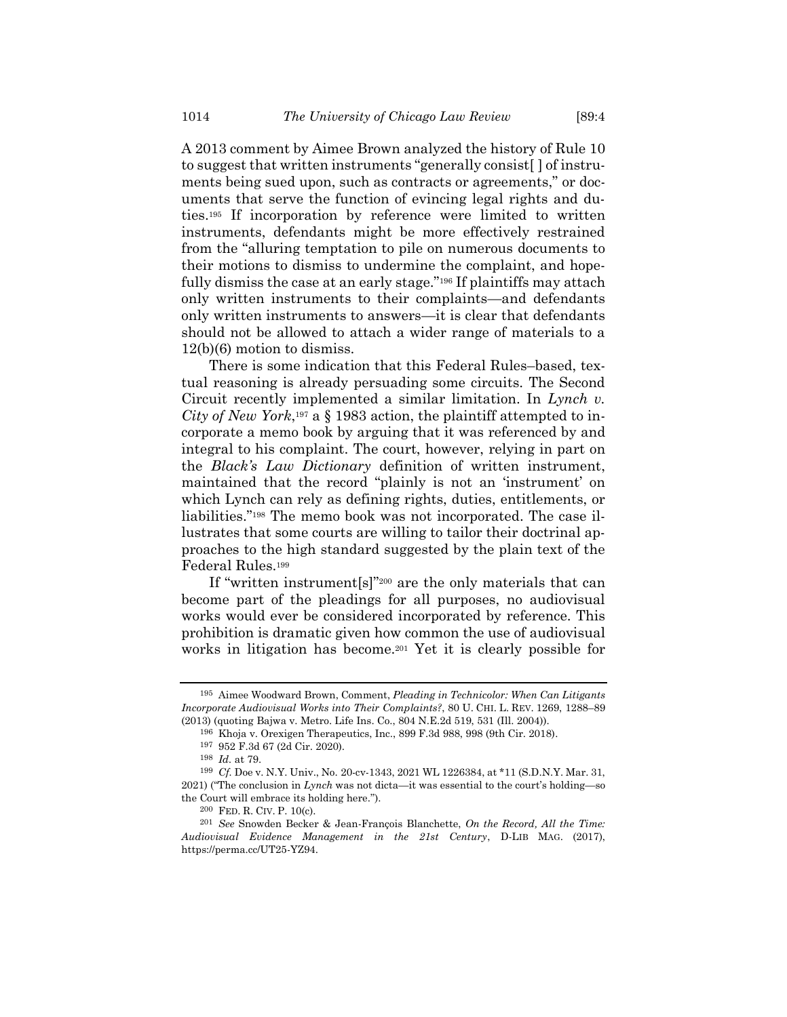<span id="page-35-0"></span>A 2013 comment by Aimee Brown analyzed the history of Rule 10 to suggest that written instruments "generally consist[ ] of instruments being sued upon, such as contracts or agreements," or documents that serve the function of evincing legal rights and duties.<sup>195</sup> If incorporation by reference were limited to written instruments, defendants might be more effectively restrained from the "alluring temptation to pile on numerous documents to their motions to dismiss to undermine the complaint, and hopefully dismiss the case at an early stage."<sup>196</sup> If plaintiffs may attach only written instruments to their complaints—and defendants only written instruments to answers—it is clear that defendants should not be allowed to attach a wider range of materials to a 12(b)(6) motion to dismiss.

There is some indication that this Federal Rules–based, textual reasoning is already persuading some circuits. The Second Circuit recently implemented a similar limitation. In *Lynch v.*  City of New York,<sup>197</sup> a  $\S$  1983 action, the plaintiff attempted to incorporate a memo book by arguing that it was referenced by and integral to his complaint. The court, however, relying in part on the *Black's Law Dictionary* definition of written instrument, maintained that the record "plainly is not an 'instrument' on which Lynch can rely as defining rights, duties, entitlements, or liabilities."<sup>198</sup> The memo book was not incorporated. The case illustrates that some courts are willing to tailor their doctrinal approaches to the high standard suggested by the plain text of the Federal Rules.<sup>199</sup>

If "written instrument[s]"<sup>200</sup> are the only materials that can become part of the pleadings for all purposes, no audiovisual works would ever be considered incorporated by reference. This prohibition is dramatic given how common the use of audiovisual works in litigation has become.<sup>201</sup> Yet it is clearly possible for

<sup>195</sup> Aimee Woodward Brown, Comment, *Pleading in Technicolor: When Can Litigants Incorporate Audiovisual Works into Their Complaints?*, 80 U. CHI. L. REV. 1269, 1288–89 (2013) (quoting Bajwa v. Metro. Life Ins. Co., 804 N.E.2d 519, 531 (Ill. 2004)).

<sup>196</sup> Khoja v. Orexigen Therapeutics, Inc., 899 F.3d 988, 998 (9th Cir. 2018).

<sup>197</sup> 952 F.3d 67 (2d Cir. 2020).

<sup>198</sup> *Id.* at 79.

<sup>199</sup> *Cf.* Doe v. N.Y. Univ., No. 20-cv-1343, 2021 WL 1226384, at \*11 (S.D.N.Y. Mar. 31, 2021) ("The conclusion in *Lynch* was not dicta—it was essential to the court's holding—so the Court will embrace its holding here.").

<sup>200</sup> FED. R. CIV. P. 10(c).

<sup>201</sup> *See* Snowden Becker & Jean-François Blanchette, *On the Record, All the Time: Audiovisual Evidence Management in the 21st Century*, D-LIB MAG. (2017), https://perma.cc/UT25-YZ94.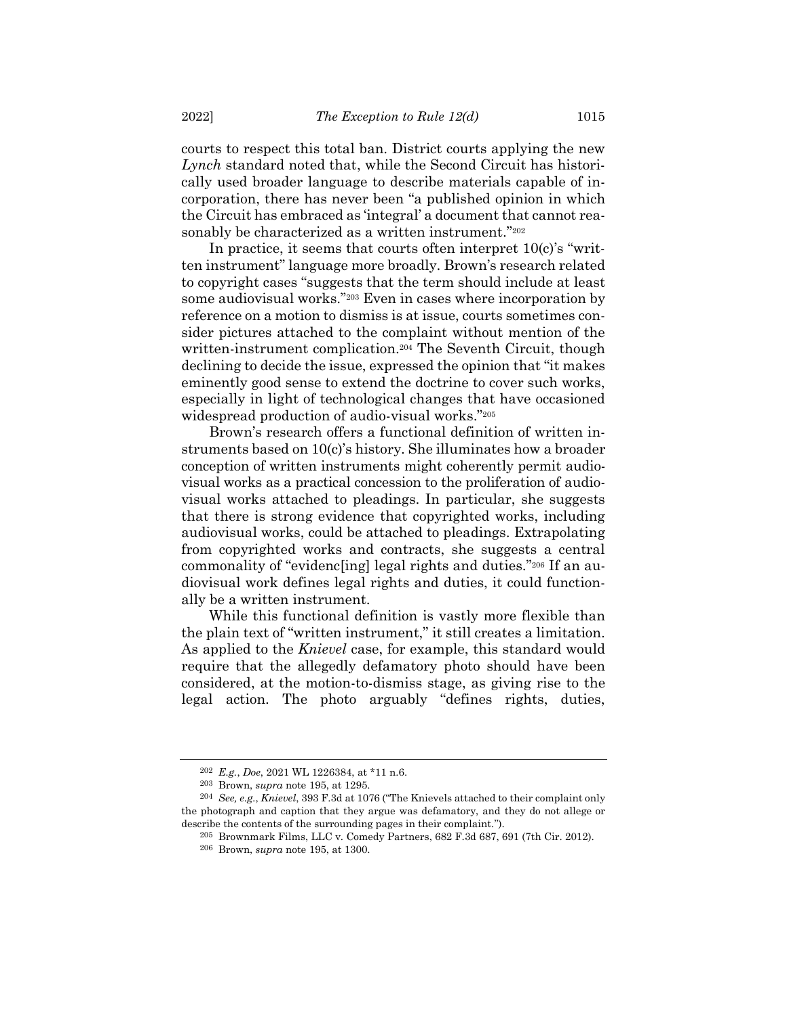courts to respect this total ban. District courts applying the new *Lynch* standard noted that, while the Second Circuit has historically used broader language to describe materials capable of incorporation, there has never been "a published opinion in which the Circuit has embraced as 'integral' a document that cannot reasonably be characterized as a written instrument."202

In practice, it seems that courts often interpret 10(c)'s "written instrument" language more broadly. Brown's research related to copyright cases "suggests that the term should include at least some audiovisual works."<sup>203</sup> Even in cases where incorporation by reference on a motion to dismiss is at issue, courts sometimes consider pictures attached to the complaint without mention of the written-instrument complication.<sup>204</sup> The Seventh Circuit, though declining to decide the issue, expressed the opinion that "it makes eminently good sense to extend the doctrine to cover such works, especially in light of technological changes that have occasioned widespread production of audio-visual works."<sup>205</sup>

Brown's research offers a functional definition of written instruments based on 10(c)'s history. She illuminates how a broader conception of written instruments might coherently permit audiovisual works as a practical concession to the proliferation of audiovisual works attached to pleadings. In particular, she suggests that there is strong evidence that copyrighted works, including audiovisual works, could be attached to pleadings. Extrapolating from copyrighted works and contracts, she suggests a central commonality of "evidenc[ing] legal rights and duties."<sup>206</sup> If an audiovisual work defines legal rights and duties, it could functionally be a written instrument.

While this functional definition is vastly more flexible than the plain text of "written instrument," it still creates a limitation. As applied to the *Knievel* case, for example, this standard would require that the allegedly defamatory photo should have been considered, at the motion-to-dismiss stage, as giving rise to the legal action. The photo arguably "defines rights, duties,

<sup>202</sup> *E.g.*, *Doe*, 2021 WL 1226384, at \*11 n.6.

<sup>203</sup> Brown, *supra* not[e 195,](#page-35-0) at 1295.

<sup>204</sup> *See, e.g.*, *Knievel*, 393 F.3d at 1076 ("The Knievels attached to their complaint only the photograph and caption that they argue was defamatory, and they do not allege or describe the contents of the surrounding pages in their complaint.").

<sup>205</sup> Brownmark Films, LLC v. Comedy Partners, 682 F.3d 687, 691 (7th Cir. 2012).

<sup>206</sup> Brown, *supra* not[e 195,](#page-35-0) at 1300.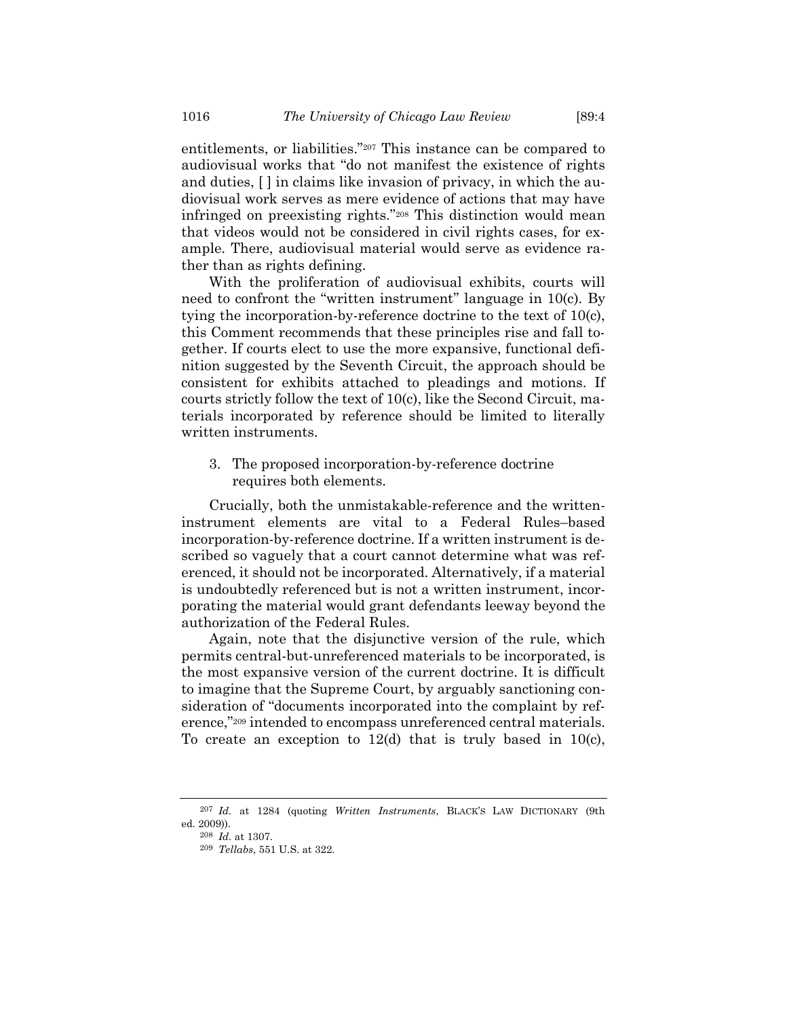entitlements, or liabilities."<sup>207</sup> This instance can be compared to audiovisual works that "do not manifest the existence of rights and duties, [ ] in claims like invasion of privacy, in which the audiovisual work serves as mere evidence of actions that may have infringed on preexisting rights."<sup>208</sup> This distinction would mean that videos would not be considered in civil rights cases, for example. There, audiovisual material would serve as evidence rather than as rights defining.

With the proliferation of audiovisual exhibits, courts will need to confront the "written instrument" language in 10(c). By tying the incorporation-by-reference doctrine to the text of 10(c), this Comment recommends that these principles rise and fall together. If courts elect to use the more expansive, functional definition suggested by the Seventh Circuit, the approach should be consistent for exhibits attached to pleadings and motions. If courts strictly follow the text of 10(c), like the Second Circuit, materials incorporated by reference should be limited to literally written instruments.

3. The proposed incorporation-by-reference doctrine requires both elements.

Crucially, both the unmistakable-reference and the writteninstrument elements are vital to a Federal Rules–based incorporation-by-reference doctrine. If a written instrument is described so vaguely that a court cannot determine what was referenced, it should not be incorporated. Alternatively, if a material is undoubtedly referenced but is not a written instrument, incorporating the material would grant defendants leeway beyond the authorization of the Federal Rules.

Again, note that the disjunctive version of the rule, which permits central-but-unreferenced materials to be incorporated, is the most expansive version of the current doctrine. It is difficult to imagine that the Supreme Court, by arguably sanctioning consideration of "documents incorporated into the complaint by reference,"<sup>209</sup> intended to encompass unreferenced central materials. To create an exception to 12(d) that is truly based in 10(c),

<sup>207</sup> *Id.* at 1284 (quoting *Written Instruments*, BLACK'S LAW DICTIONARY (9th ed. 2009)).

<sup>208</sup> *Id.* at 1307.

<sup>209</sup> *Tellabs*, 551 U.S. at 322.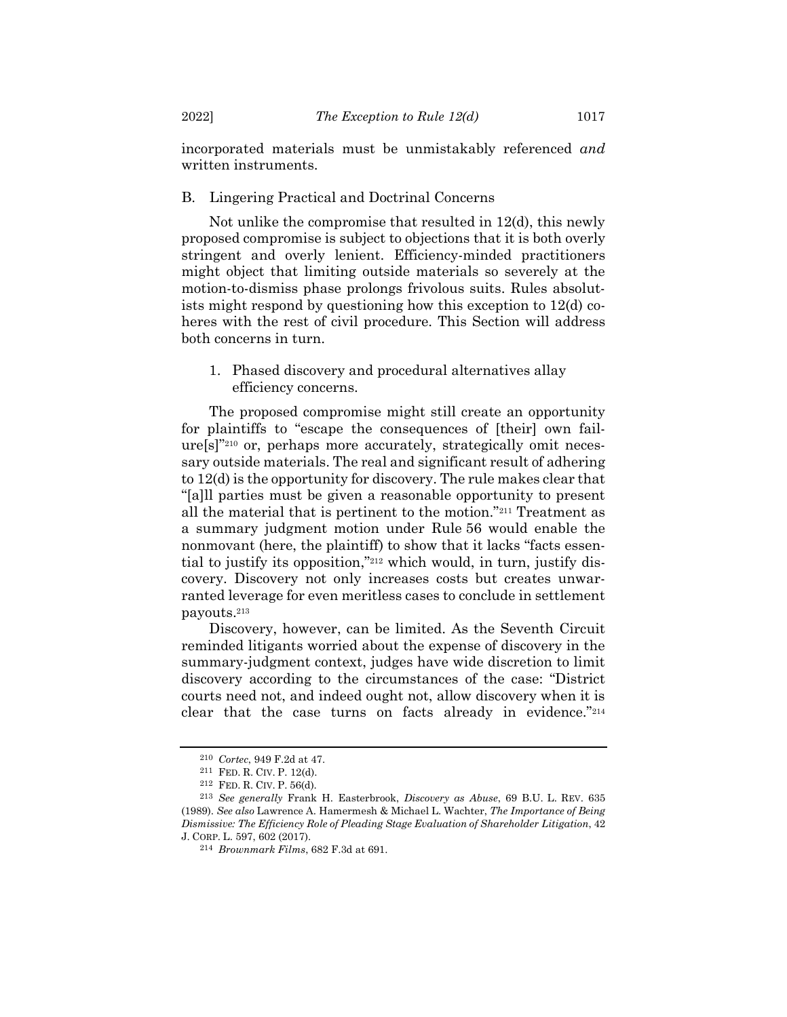incorporated materials must be unmistakably referenced *and* written instruments.

# B. Lingering Practical and Doctrinal Concerns

Not unlike the compromise that resulted in 12(d), this newly proposed compromise is subject to objections that it is both overly stringent and overly lenient. Efficiency-minded practitioners might object that limiting outside materials so severely at the motion-to-dismiss phase prolongs frivolous suits. Rules absolutists might respond by questioning how this exception to 12(d) coheres with the rest of civil procedure. This Section will address both concerns in turn.

1. Phased discovery and procedural alternatives allay efficiency concerns.

The proposed compromise might still create an opportunity for plaintiffs to "escape the consequences of [their] own failure[s]"<sup>210</sup> or, perhaps more accurately, strategically omit necessary outside materials. The real and significant result of adhering to 12(d) is the opportunity for discovery. The rule makes clear that "[a]ll parties must be given a reasonable opportunity to present all the material that is pertinent to the motion."<sup>211</sup> Treatment as a summary judgment motion under Rule 56 would enable the nonmovant (here, the plaintiff) to show that it lacks "facts essential to justify its opposition,"<sup>212</sup> which would, in turn, justify discovery. Discovery not only increases costs but creates unwarranted leverage for even meritless cases to conclude in settlement payouts.<sup>213</sup>

Discovery, however, can be limited. As the Seventh Circuit reminded litigants worried about the expense of discovery in the summary-judgment context, judges have wide discretion to limit discovery according to the circumstances of the case: "District courts need not, and indeed ought not, allow discovery when it is clear that the case turns on facts already in evidence."<sup>214</sup>

<sup>210</sup> *Cortec*, 949 F.2d at 47.

<sup>211</sup> FED. R. CIV. P. 12(d).

<sup>212</sup> FED. R. CIV. P. 56(d).

<sup>213</sup> *See generally* Frank H. Easterbrook, *Discovery as Abuse*, 69 B.U. L. REV. 635 (1989). *See also* Lawrence A. Hamermesh & Michael L. Wachter, *The Importance of Being Dismissive: The Efficiency Role of Pleading Stage Evaluation of Shareholder Litigation*, 42 J. CORP. L. 597, 602 (2017).

<sup>214</sup> *Brownmark Films*, 682 F.3d at 691.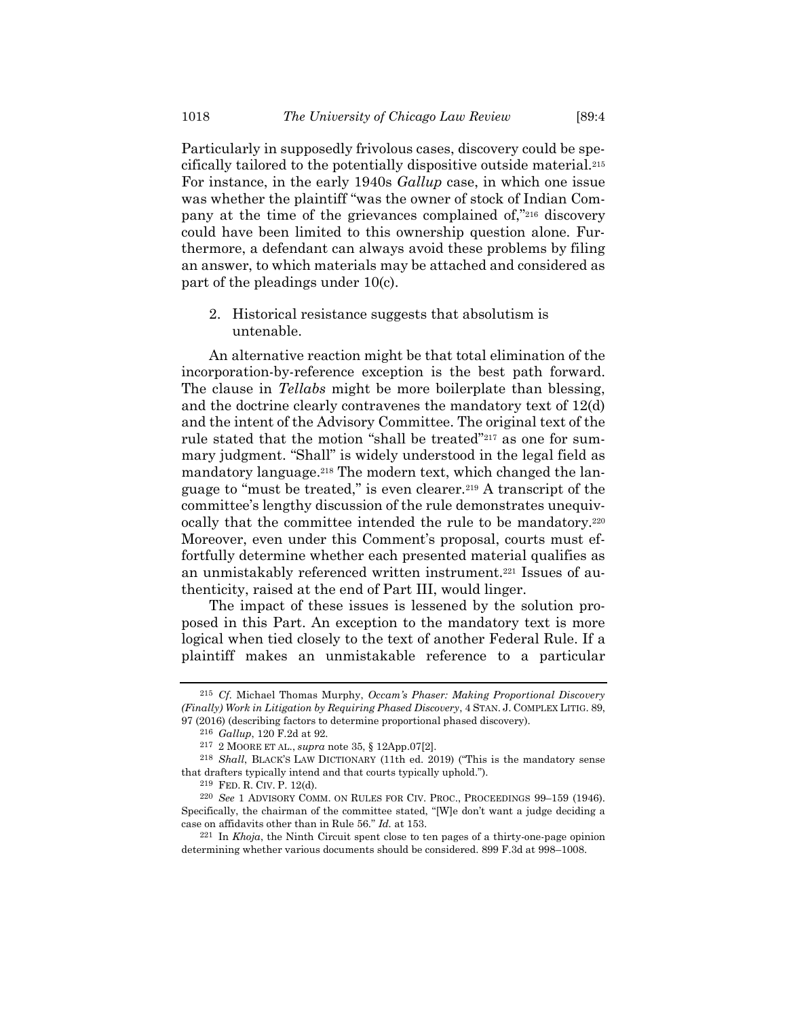Particularly in supposedly frivolous cases, discovery could be specifically tailored to the potentially dispositive outside material.<sup>215</sup> For instance, in the early 1940s *Gallup* case, in which one issue was whether the plaintiff "was the owner of stock of Indian Company at the time of the grievances complained of,"<sup>216</sup> discovery could have been limited to this ownership question alone. Furthermore, a defendant can always avoid these problems by filing an answer, to which materials may be attached and considered as part of the pleadings under 10(c).

2. Historical resistance suggests that absolutism is untenable.

An alternative reaction might be that total elimination of the incorporation-by-reference exception is the best path forward. The clause in *Tellabs* might be more boilerplate than blessing, and the doctrine clearly contravenes the mandatory text of 12(d) and the intent of the Advisory Committee. The original text of the rule stated that the motion "shall be treated"<sup>217</sup> as one for summary judgment. "Shall" is widely understood in the legal field as mandatory language.<sup>218</sup> The modern text, which changed the language to "must be treated," is even clearer.<sup>219</sup> A transcript of the committee's lengthy discussion of the rule demonstrates unequivocally that the committee intended the rule to be mandatory.<sup>220</sup> Moreover, even under this Comment's proposal, courts must effortfully determine whether each presented material qualifies as an unmistakably referenced written instrument.<sup>221</sup> Issues of authenticity, raised at the end of Part III, would linger.

The impact of these issues is lessened by the solution proposed in this Part. An exception to the mandatory text is more logical when tied closely to the text of another Federal Rule. If a plaintiff makes an unmistakable reference to a particular

<sup>215</sup> *Cf.* Michael Thomas Murphy, *Occam's Phaser: Making Proportional Discovery (Finally) Work in Litigation by Requiring Phased Discovery*, 4 STAN. J. COMPLEX LITIG. 89, 97 (2016) (describing factors to determine proportional phased discovery).

<sup>216</sup> *Gallup*, 120 F.2d at 92.

<sup>217</sup> 2 MOORE ET AL., *supra* note [35,](#page-8-0) § 12App.07[2].

<sup>218</sup> *Shall*, BLACK'S LAW DICTIONARY (11th ed. 2019) ("This is the mandatory sense that drafters typically intend and that courts typically uphold.").

<sup>219</sup> FED. R. CIV. P. 12(d).

<sup>&</sup>lt;sup>220</sup> See 1 ADVISORY COMM. ON RULES FOR CIV. PROC., PROCEEDINGS 99-159 (1946). Specifically, the chairman of the committee stated, "[W]e don't want a judge deciding a case on affidavits other than in Rule 56." *Id.* at 153.

<sup>221</sup> In *Khoja*, the Ninth Circuit spent close to ten pages of a thirty-one-page opinion determining whether various documents should be considered. 899 F.3d at 998–1008.